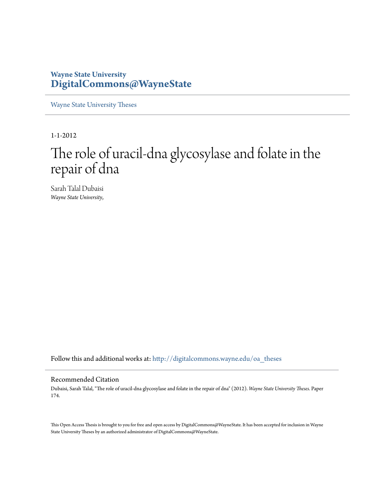# **Wayne State University [DigitalCommons@WayneState](http://digitalcommons.wayne.edu?utm_source=digitalcommons.wayne.edu%2Foa_theses%2F174&utm_medium=PDF&utm_campaign=PDFCoverPages)**

[Wayne State University Theses](http://digitalcommons.wayne.edu/oa_theses?utm_source=digitalcommons.wayne.edu%2Foa_theses%2F174&utm_medium=PDF&utm_campaign=PDFCoverPages)

1-1-2012

# The role of uracil-dna glycosylase and folate in the repair of dna

Sarah Talal Dubaisi *Wayne State University*,

Follow this and additional works at: [http://digitalcommons.wayne.edu/oa\\_theses](http://digitalcommons.wayne.edu/oa_theses?utm_source=digitalcommons.wayne.edu%2Foa_theses%2F174&utm_medium=PDF&utm_campaign=PDFCoverPages)

### Recommended Citation

Dubaisi, Sarah Talal, "The role of uracil-dna glycosylase and folate in the repair of dna" (2012). *Wayne State University Theses.* Paper 174.

This Open Access Thesis is brought to you for free and open access by DigitalCommons@WayneState. It has been accepted for inclusion in Wayne State University Theses by an authorized administrator of DigitalCommons@WayneState.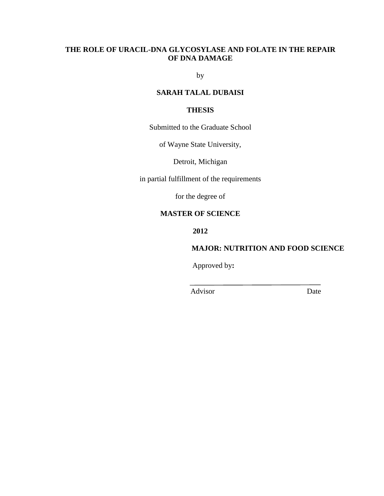# **THE ROLE OF URACIL-DNA GLYCOSYLASE AND FOLATE IN THE REPAIR OF DNA DAMAGE**

by

# **SARAH TALAL DUBAISI**

# **THESIS**

Submitted to the Graduate School

of Wayne State University,

Detroit, Michigan

in partial fulfillment of the requirements

for the degree of

# **MASTER OF SCIENCE**

**2012**

# **MAJOR: NUTRITION AND FOOD SCIENCE**

Approved by**:**

Advisor Date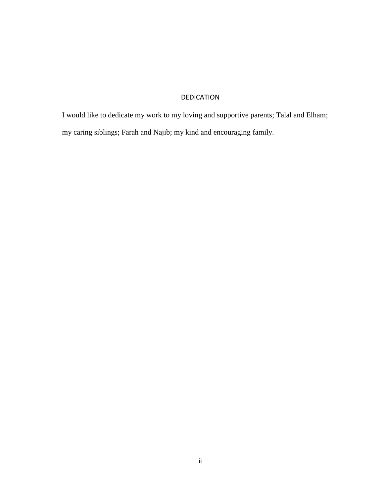# DEDICATION

<span id="page-2-0"></span>I would like to dedicate my work to my loving and supportive parents; Talal and Elham; my caring siblings; Farah and Najib; my kind and encouraging family.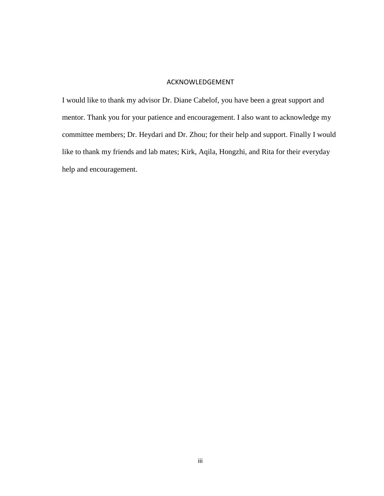## ACKNOWLEDGEMENT

<span id="page-3-0"></span>I would like to thank my advisor Dr. Diane Cabelof, you have been a great support and mentor. Thank you for your patience and encouragement. I also want to acknowledge my committee members; Dr. Heydari and Dr. Zhou; for their help and support. Finally I would like to thank my friends and lab mates; Kirk, Aqila, Hongzhi, and Rita for their everyday help and encouragement.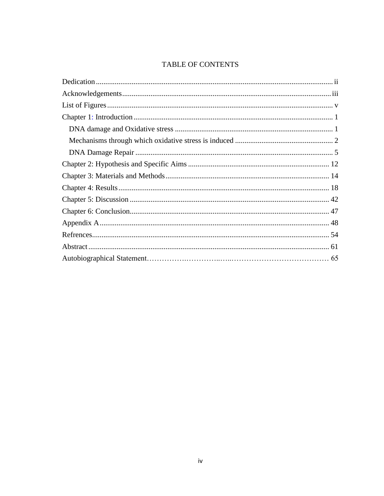# TABLE OF CONTENTS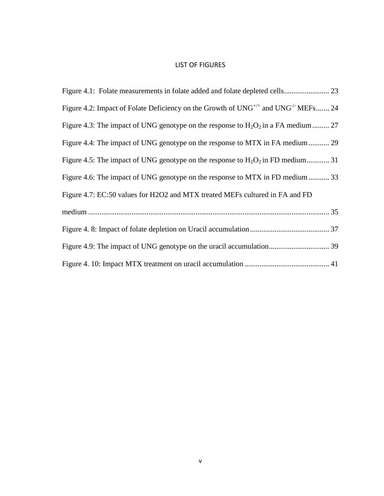## LIST OF FIGURES

<span id="page-5-1"></span><span id="page-5-0"></span>

| Figure 4.2: Impact of Folate Deficiency on the Growth of $UNG^{+/-}$ and $UNG^{-/-}$ MEFs 24 |
|----------------------------------------------------------------------------------------------|
| Figure 4.3: The impact of UNG genotype on the response to $H_2O_2$ in a FA medium  27        |
| Figure 4.4: The impact of UNG genotype on the response to MTX in FA medium  29               |
| Figure 4.5: The impact of UNG genotype on the response to $H_2O_2$ in FD medium 31           |
| Figure 4.6: The impact of UNG genotype on the response to MTX in FD medium  33               |
| Figure 4.7: EC:50 values for H2O2 and MTX treated MEFs cultured in FA and FD                 |
|                                                                                              |
|                                                                                              |
|                                                                                              |
|                                                                                              |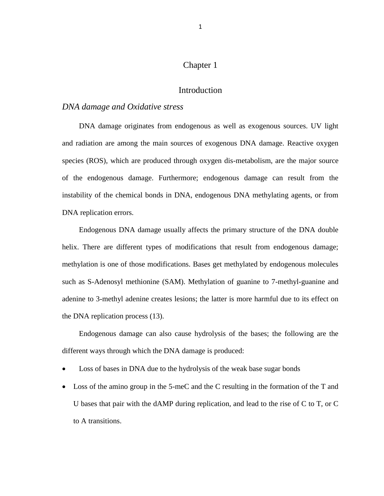# Chapter 1

# Introduction

# <span id="page-6-1"></span><span id="page-6-0"></span>*DNA damage and Oxidative stress*

DNA damage originates from endogenous as well as exogenous sources. UV light and radiation are among the main sources of exogenous DNA damage. Reactive oxygen species (ROS), which are produced through oxygen dis-metabolism, are the major source of the endogenous damage. Furthermore; endogenous damage can result from the instability of the chemical bonds in DNA, endogenous DNA methylating agents, or from DNA replication errors.

Endogenous DNA damage usually affects the primary structure of the DNA double helix. There are different types of modifications that result from endogenous damage; methylation is one of those modifications. Bases get methylated by endogenous molecules such as S-Adenosyl methionine (SAM). Methylation of guanine to 7-methyl-guanine and adenine to 3-methyl adenine creates lesions; the latter is more harmful due to its effect on the DNA replication process (13).

Endogenous damage can also cause hydrolysis of the bases; the following are the different ways through which the DNA damage is produced:

- Loss of bases in DNA due to the hydrolysis of the weak base sugar bonds
- Loss of the amino group in the 5-meC and the C resulting in the formation of the T and U bases that pair with the dAMP during replication, and lead to the rise of C to T, or C to A transitions.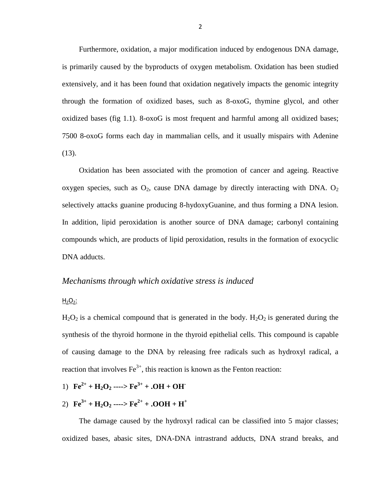Furthermore, oxidation, a major modification induced by endogenous DNA damage, is primarily caused by the byproducts of oxygen metabolism. Oxidation has been studied extensively, and it has been found that oxidation negatively impacts the genomic integrity through the formation of oxidized bases, such as 8-oxoG, thymine glycol, and other oxidized bases (fig 1.1). 8-oxoG is most frequent and harmful among all oxidized bases; 7500 8-oxoG forms each day in mammalian cells, and it usually mispairs with Adenine  $(13)$ .

Oxidation has been associated with the promotion of cancer and ageing. Reactive oxygen species, such as  $O_2$ , cause DNA damage by directly interacting with DNA.  $O_2$ selectively attacks guanine producing 8-hydoxyGuanine, and thus forming a DNA lesion. In addition, lipid peroxidation is another source of DNA damage; carbonyl containing compounds which, are products of lipid peroxidation, results in the formation of exocyclic DNA adducts.

## <span id="page-7-0"></span>*Mechanisms through which oxidative stress is induced*

# $H<sub>2</sub>O<sub>2</sub>$ :

 $H_2O_2$  is a chemical compound that is generated in the body.  $H_2O_2$  is generated during the synthesis of the thyroid hormone in the thyroid epithelial cells. This compound is capable of causing damage to the DNA by releasing free radicals such as hydroxyl radical, a reaction that involves  $Fe^{3+}$ , this reaction is known as the Fenton reaction:

- 1)  $\text{Fe}^{2+} + \text{H}_2\text{O}_2 \longrightarrow \text{Fe}^{3+} + \cdot \text{OH} + \text{OH}$
- 2)  $\mathbf{Fe}^{3+} + \mathbf{H}_2\mathbf{O}_2$  ---->  $\mathbf{Fe}^{2+} + \mathbf{.OOH} + \mathbf{H}^+$

The damage caused by the hydroxyl radical can be classified into 5 major classes; oxidized bases, abasic sites, DNA-DNA intrastrand adducts, DNA strand breaks, and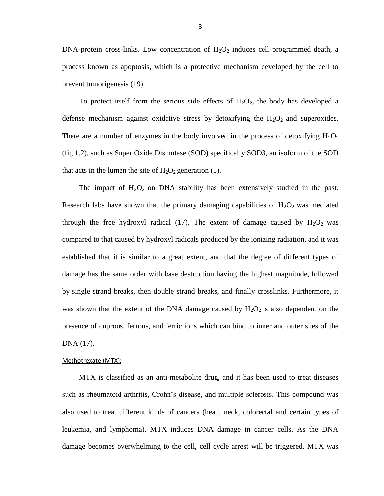DNA-protein cross-links. Low concentration of  $H_2O_2$  induces cell programmed death, a process known as apoptosis, which is a protective mechanism developed by the cell to prevent tumorigenesis (19).

To protect itself from the serious side effects of  $H_2O_2$ , the body has developed a defense mechanism against oxidative stress by detoxifying the  $H_2O_2$  and superoxides. There are a number of enzymes in the body involved in the process of detoxifying  $H_2O_2$ (fig 1.2), such as Super Oxide Dismutase (SOD) specifically SOD3, an isoform of the SOD that acts in the lumen the site of  $H_2O_2$  generation (5).

The impact of  $H_2O_2$  on DNA stability has been extensively studied in the past. Research labs have shown that the primary damaging capabilities of  $H_2O_2$  was mediated through the free hydroxyl radical (17). The extent of damage caused by  $H_2O_2$  was compared to that caused by hydroxyl radicals produced by the ionizing radiation, and it was established that it is similar to a great extent, and that the degree of different types of damage has the same order with base destruction having the highest magnitude, followed by single strand breaks, then double strand breaks, and finally crosslinks. Furthermore, it was shown that the extent of the DNA damage caused by  $H_2O_2$  is also dependent on the presence of cuprous, ferrous, and ferric ions which can bind to inner and outer sites of the DNA (17).

#### Methotrexate (MTX):

MTX is classified as an anti-metabolite drug, and it has been used to treat diseases such as rheumatoid arthritis, Crohn's disease, and multiple sclerosis. This compound was also used to treat different kinds of cancers (head, neck, colorectal and certain types of leukemia, and lymphoma). MTX induces DNA damage in cancer cells. As the DNA damage becomes overwhelming to the cell, cell cycle arrest will be triggered. MTX was

3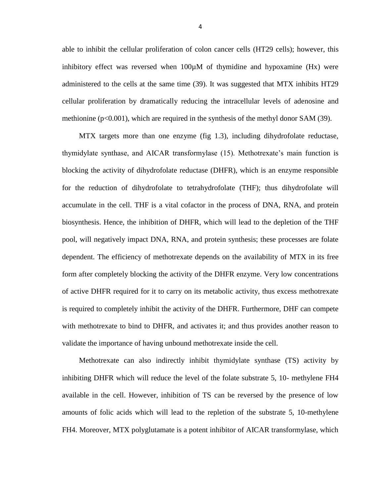able to inhibit the cellular proliferation of colon cancer cells (HT29 cells); however, this inhibitory effect was reversed when  $100\mu$ M of thymidine and hypoxamine (Hx) were administered to the cells at the same time (39). It was suggested that MTX inhibits HT29 cellular proliferation by dramatically reducing the intracellular levels of adenosine and methionine  $(p<0.001)$ , which are required in the synthesis of the methyl donor SAM (39).

MTX targets more than one enzyme (fig 1.3), including dihydrofolate reductase, thymidylate synthase, and AICAR transformylase (15). Methotrexate's main function is blocking the activity of dihydrofolate reductase (DHFR), which is an enzyme responsible for the reduction of dihydrofolate to tetrahydrofolate (THF); thus dihydrofolate will accumulate in the cell. THF is a vital cofactor in the process of DNA, RNA, and protein biosynthesis. Hence, the inhibition of DHFR, which will lead to the depletion of the THF pool, will negatively impact DNA, RNA, and protein synthesis; these processes are folate dependent. The efficiency of methotrexate depends on the availability of MTX in its free form after completely blocking the activity of the DHFR enzyme. Very low concentrations of active DHFR required for it to carry on its metabolic activity, thus excess methotrexate is required to completely inhibit the activity of the DHFR. Furthermore, DHF can compete with methotrexate to bind to DHFR, and activates it; and thus provides another reason to validate the importance of having unbound methotrexate inside the cell.

Methotrexate can also indirectly inhibit thymidylate synthase (TS) activity by inhibiting DHFR which will reduce the level of the folate substrate 5, 10- methylene FH4 available in the cell. However, inhibition of TS can be reversed by the presence of low amounts of folic acids which will lead to the repletion of the substrate 5, 10-methylene FH4. Moreover, MTX polyglutamate is a potent inhibitor of AICAR transformylase, which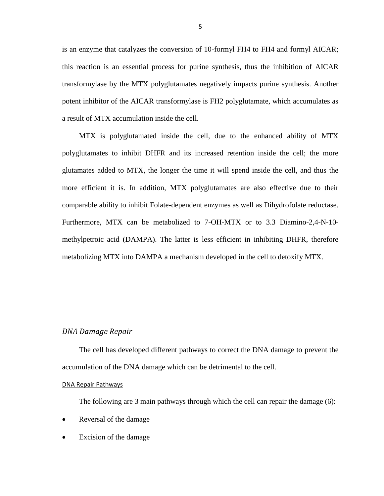is an enzyme that catalyzes the conversion of 10-formyl FH4 to FH4 and formyl AICAR; this reaction is an essential process for purine synthesis, thus the inhibition of AICAR transformylase by the MTX polyglutamates negatively impacts purine synthesis. Another potent inhibitor of the AICAR transformylase is FH2 polyglutamate, which accumulates as a result of MTX accumulation inside the cell.

MTX is polyglutamated inside the cell, due to the enhanced ability of MTX polyglutamates to inhibit DHFR and its increased retention inside the cell; the more glutamates added to MTX, the longer the time it will spend inside the cell, and thus the more efficient it is. In addition, MTX polyglutamates are also effective due to their comparable ability to inhibit Folate-dependent enzymes as well as Dihydrofolate reductase. Furthermore, MTX can be metabolized to 7-OH-MTX or to 3.3 Diamino-2,4-N-10 methylpetroic acid (DAMPA). The latter is less efficient in inhibiting DHFR, therefore metabolizing MTX into DAMPA a mechanism developed in the cell to detoxify MTX.

### <span id="page-10-0"></span>*DNA Damage Repair*

The cell has developed different pathways to correct the DNA damage to prevent the accumulation of the DNA damage which can be detrimental to the cell.

### DNA Repair Pathways

The following are 3 main pathways through which the cell can repair the damage (6):

- Reversal of the damage
- Excision of the damage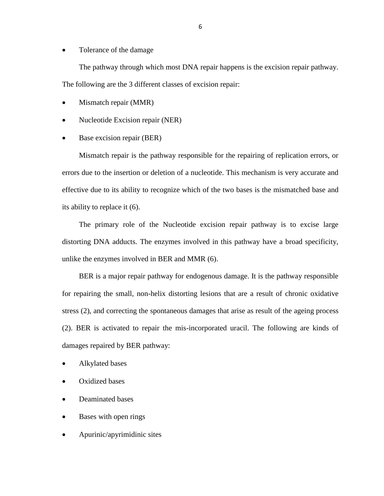Tolerance of the damage

The pathway through which most DNA repair happens is the excision repair pathway. The following are the 3 different classes of excision repair:

- Mismatch repair (MMR)
- Nucleotide Excision repair (NER)
- Base excision repair (BER)

Mismatch repair is the pathway responsible for the repairing of replication errors, or errors due to the insertion or deletion of a nucleotide. This mechanism is very accurate and effective due to its ability to recognize which of the two bases is the mismatched base and its ability to replace it (6).

The primary role of the Nucleotide excision repair pathway is to excise large distorting DNA adducts. The enzymes involved in this pathway have a broad specificity, unlike the enzymes involved in BER and MMR (6).

BER is a major repair pathway for endogenous damage. It is the pathway responsible for repairing the small, non-helix distorting lesions that are a result of chronic oxidative stress (2), and correcting the spontaneous damages that arise as result of the ageing process (2). BER is activated to repair the mis-incorporated uracil. The following are kinds of damages repaired by BER pathway:

- Alkylated bases
- Oxidized bases
- Deaminated bases
- Bases with open rings
- Apurinic/apyrimidinic sites

6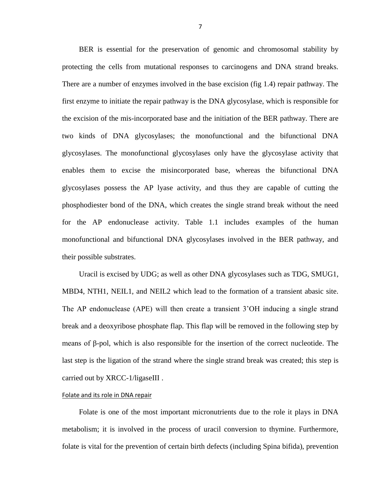BER is essential for the preservation of genomic and chromosomal stability by protecting the cells from mutational responses to carcinogens and DNA strand breaks. There are a number of enzymes involved in the base excision (fig 1.4) repair pathway. The first enzyme to initiate the repair pathway is the DNA glycosylase, which is responsible for the excision of the mis-incorporated base and the initiation of the BER pathway. There are two kinds of DNA glycosylases; the monofunctional and the bifunctional DNA glycosylases. The monofunctional glycosylases only have the glycosylase activity that enables them to excise the misincorporated base, whereas the bifunctional DNA glycosylases possess the AP lyase activity, and thus they are capable of cutting the phosphodiester bond of the DNA, which creates the single strand break without the need for the AP endonuclease activity. Table 1.1 includes examples of the human monofunctional and bifunctional DNA glycosylases involved in the BER pathway, and their possible substrates.

Uracil is excised by UDG; as well as other DNA glycosylases such as TDG, SMUG1, MBD4, NTH1, NEIL1, and NEIL2 which lead to the formation of a transient abasic site. The AP endonuclease (APE) will then create a transient 3'OH inducing a single strand break and a deoxyribose phosphate flap. This flap will be removed in the following step by means of β-pol, which is also responsible for the insertion of the correct nucleotide. The last step is the ligation of the strand where the single strand break was created; this step is carried out by XRCC-1/ligaseIII .

#### Folate and its role in DNA repair

Folate is one of the most important micronutrients due to the role it plays in DNA metabolism; it is involved in the process of uracil conversion to thymine. Furthermore, folate is vital for the prevention of certain birth defects (including Spina bifida), prevention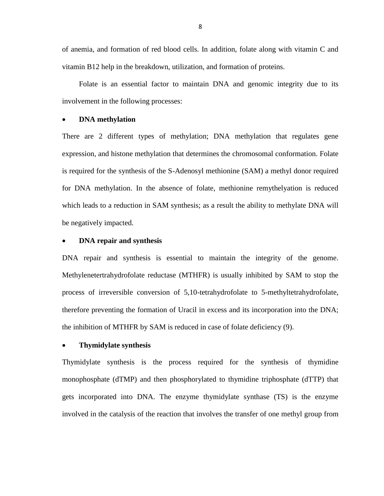of anemia, and formation of red blood cells. In addition, folate along with vitamin C and vitamin B12 help in the breakdown, utilization, and formation of proteins.

Folate is an essential factor to maintain DNA and genomic integrity due to its involvement in the following processes:

### **DNA methylation**

There are 2 different types of methylation; DNA methylation that regulates gene expression, and histone methylation that determines the chromosomal conformation. Folate is required for the synthesis of the S-Adenosyl methionine (SAM) a methyl donor required for DNA methylation. In the absence of folate, methionine remythelyation is reduced which leads to a reduction in SAM synthesis; as a result the ability to methylate DNA will be negatively impacted.

### **DNA repair and synthesis**

DNA repair and synthesis is essential to maintain the integrity of the genome. Methylenetertrahydrofolate reductase (MTHFR) is usually inhibited by SAM to stop the process of irreversible conversion of 5,10-tetrahydrofolate to 5-methyltetrahydrofolate, therefore preventing the formation of Uracil in excess and its incorporation into the DNA; the inhibition of MTHFR by SAM is reduced in case of folate deficiency (9).

### **Thymidylate synthesis**

Thymidylate synthesis is the process required for the synthesis of thymidine monophosphate (dTMP) and then phosphorylated to thymidine triphosphate (dTTP) that gets incorporated into DNA. The enzyme thymidylate synthase (TS) is the enzyme involved in the catalysis of the reaction that involves the transfer of one methyl group from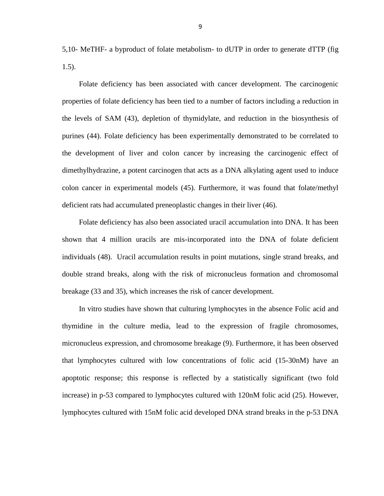5,10- MeTHF- a byproduct of folate metabolism- to dUTP in order to generate dTTP (fig 1.5).

Folate deficiency has been associated with cancer development. The carcinogenic properties of folate deficiency has been tied to a number of factors including a reduction in the levels of SAM (43), depletion of thymidylate, and reduction in the biosynthesis of purines (44). Folate deficiency has been experimentally demonstrated to be correlated to the development of liver and colon cancer by increasing the carcinogenic effect of dimethylhydrazine, a potent carcinogen that acts as a DNA alkylating agent used to induce colon cancer in experimental models (45). Furthermore, it was found that folate/methyl deficient rats had accumulated preneoplastic changes in their liver (46).

Folate deficiency has also been associated uracil accumulation into DNA. It has been shown that 4 million uracils are mis-incorporated into the DNA of folate deficient individuals (48). Uracil accumulation results in point mutations, single strand breaks, and double strand breaks, along with the risk of micronucleus formation and chromosomal breakage (33 and 35), which increases the risk of cancer development.

In vitro studies have shown that culturing lymphocytes in the absence Folic acid and thymidine in the culture media, lead to the expression of fragile chromosomes, micronucleus expression, and chromosome breakage (9). Furthermore, it has been observed that lymphocytes cultured with low concentrations of folic acid (15-30nM) have an apoptotic response; this response is reflected by a statistically significant (two fold increase) in p-53 compared to lymphocytes cultured with 120nM folic acid (25). However, lymphocytes cultured with 15nM folic acid developed DNA strand breaks in the p-53 DNA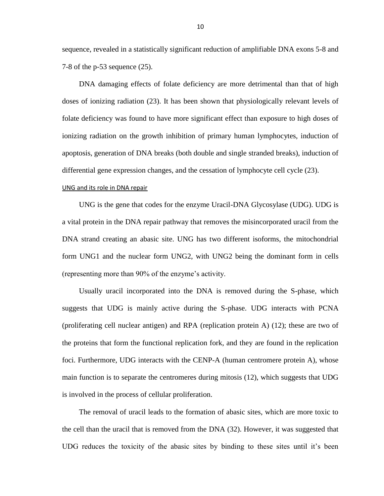sequence, revealed in a statistically significant reduction of amplifiable DNA exons 5-8 and 7-8 of the p-53 sequence (25).

DNA damaging effects of folate deficiency are more detrimental than that of high doses of ionizing radiation (23). It has been shown that physiologically relevant levels of folate deficiency was found to have more significant effect than exposure to high doses of ionizing radiation on the growth inhibition of primary human lymphocytes, induction of apoptosis, generation of DNA breaks (both double and single stranded breaks), induction of differential gene expression changes, and the cessation of lymphocyte cell cycle (23).

#### UNG and its role in DNA repair

UNG is the gene that codes for the enzyme Uracil-DNA Glycosylase (UDG). UDG is a vital protein in the DNA repair pathway that removes the misincorporated uracil from the DNA strand creating an abasic site. UNG has two different isoforms, the mitochondrial form UNG1 and the nuclear form UNG2, with UNG2 being the dominant form in cells (representing more than 90% of the enzyme's activity.

Usually uracil incorporated into the DNA is removed during the S-phase, which suggests that UDG is mainly active during the S-phase. UDG interacts with PCNA (proliferating cell nuclear antigen) and RPA (replication protein A) (12); these are two of the proteins that form the functional replication fork, and they are found in the replication foci. Furthermore, UDG interacts with the CENP-A (human centromere protein A), whose main function is to separate the centromeres during mitosis (12), which suggests that UDG is involved in the process of cellular proliferation.

The removal of uracil leads to the formation of abasic sites, which are more toxic to the cell than the uracil that is removed from the DNA (32). However, it was suggested that UDG reduces the toxicity of the abasic sites by binding to these sites until it's been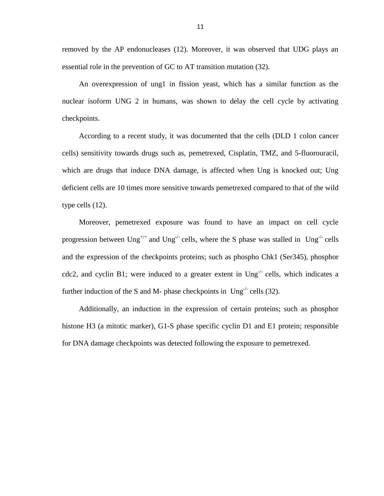removed by the AP endonucleases (12). Moreover, it was observed that UDG plays an essential role in the prevention of GC to AT transition mutation (32).

An overexpression of ung1 in fission yeast, which has a similar function as the nuclear isoform UNG 2 in humans, was shown to delay the cell cycle by activating checkpoints.

According to a recent study, it was documented that the cells (DLD 1 colon cancer cells) sensitivity towards drugs such as, pemetrexed, Cisplatin, TMZ, and 5-fluorouracil, which are drugs that induce DNA damage, is affected when Ung is knocked out; Ung deficient cells are 10 times more sensitive towards pemetrexed compared to that of the wild type cells (12).

Moreover, pemetrexed exposure was found to have an impact on cell cycle progression between  $Ung^{+/+}$  and  $Ung^{-/-}$  cells, where the S phase was stalled in  $Ung^{-/-}$  cells and the expression of the checkpoints proteins; such as phospho Chk1 (Ser345), phosphor cdc2, and cyclin B1; were induced to a greater extent in Ung<sup>-/-</sup> cells, which indicates a further induction of the S and M- phase checkpoints in  $Ung^{-1}$  cells (32).

Additionally, an induction in the expression of certain proteins; such as phosphor histone H3 (a mitotic marker), G1-S phase specific cyclin D1 and E1 protein; responsible for DNA damage checkpoints was detected following the exposure to pemetrexed.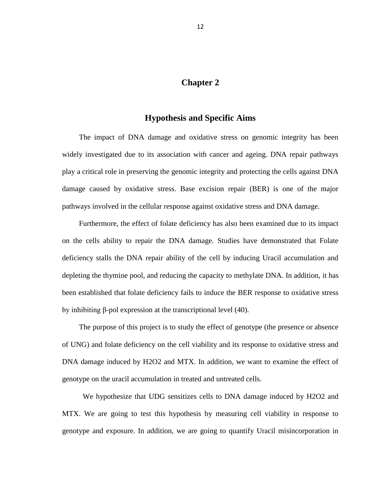# **Chapter 2**

# **Hypothesis and Specific Aims**

<span id="page-17-1"></span><span id="page-17-0"></span>The impact of DNA damage and oxidative stress on genomic integrity has been widely investigated due to its association with cancer and ageing. DNA repair pathways play a critical role in preserving the genomic integrity and protecting the cells against DNA damage caused by oxidative stress. Base excision repair (BER) is one of the major pathways involved in the cellular response against oxidative stress and DNA damage.

Furthermore, the effect of folate deficiency has also been examined due to its impact on the cells ability to repair the DNA damage. Studies have demonstrated that Folate deficiency stalls the DNA repair ability of the cell by inducing Uracil accumulation and depleting the thymine pool, and reducing the capacity to methylate DNA. In addition, it has been established that folate deficiency fails to induce the BER response to oxidative stress by inhibiting β-pol expression at the transcriptional level (40).

The purpose of this project is to study the effect of genotype (the presence or absence of UNG) and folate deficiency on the cell viability and its response to oxidative stress and DNA damage induced by H2O2 and MTX. In addition, we want to examine the effect of genotype on the uracil accumulation in treated and untreated cells.

 We hypothesize that UDG sensitizes cells to DNA damage induced by H2O2 and MTX. We are going to test this hypothesis by measuring cell viability in response to genotype and exposure. In addition, we are going to quantify Uracil misincorporation in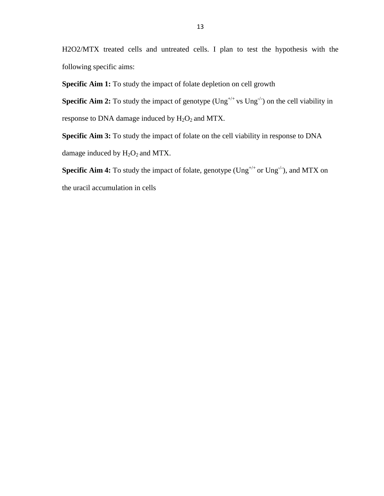H2O2/MTX treated cells and untreated cells. I plan to test the hypothesis with the following specific aims:

**Specific Aim 1:** To study the impact of folate depletion on cell growth

**Specific Aim 2:** To study the impact of genotype  $(\text{Ung}^{+/+} \text{vs } \text{Ung}^{-/})$  on the cell viability in response to DNA damage induced by  $H_2O_2$  and MTX.

**Specific Aim 3:** To study the impact of folate on the cell viability in response to DNA damage induced by  $H_2O_2$  and MTX.

**Specific Aim 4:** To study the impact of folate, genotype (Ung<sup>+/+</sup> or Ung<sup>-/-</sup>), and MTX on the uracil accumulation in cells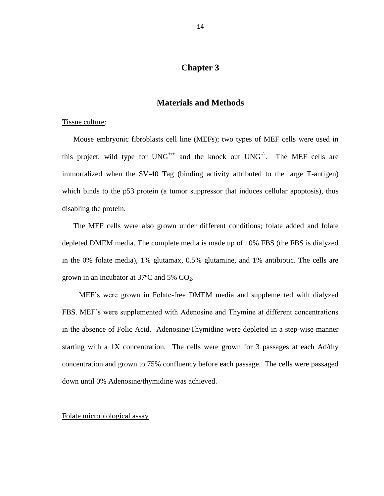# **Chapter 3**

# **Materials and Methods**

### <span id="page-19-0"></span>Tissue culture:

Mouse embryonic fibroblasts cell line (MEFs); two types of MEF cells were used in this project, wild type for  $UNG^{+/-}$  and the knock out  $UNG^{-/-}$ . The MEF cells are immortalized when the SV-40 Tag (binding activity attributed to the large T-antigen) which binds to the p53 protein (a tumor suppressor that induces cellular apoptosis), thus disabling the protein.

The MEF cells were also grown under different conditions; folate added and folate depleted DMEM media. The complete media is made up of 10% FBS (the FBS is dialyzed in the 0% folate media), 1% glutamax, 0.5% glutamine, and 1% antibiotic. The cells are grown in an incubator at  $37^{\circ}$ C and  $5\%$  CO<sub>2</sub>.

MEF's were grown in Folate-free DMEM media and supplemented with dialyzed FBS. MEF's were supplemented with Adenosine and Thymine at different concentrations in the absence of Folic Acid. Adenosine/Thymidine were depleted in a step-wise manner starting with a 1X concentration. The cells were grown for 3 passages at each Ad/thy concentration and grown to 75% confluency before each passage. The cells were passaged down until 0% Adenosine/thymidine was achieved.

### Folate microbiological assay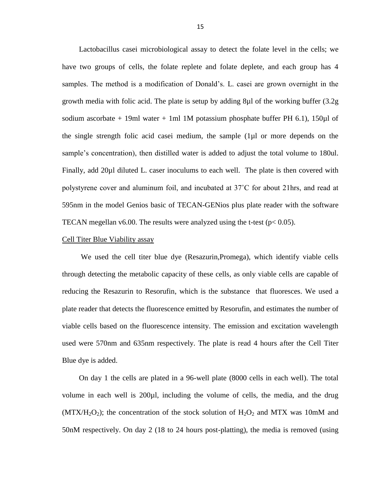Lactobacillus casei microbiological assay to detect the folate level in the cells; we have two groups of cells, the folate replete and folate deplete, and each group has 4 samples. The method is a modification of Donald's. L. casei are grown overnight in the growth media with folic acid. The plate is setup by adding 8µl of the working buffer (3.2g sodium ascorbate  $+ 19$ ml water  $+ 1$ ml 1M potassium phosphate buffer PH 6.1), 150 $\mu$ l of the single strength folic acid casei medium, the sample (1µl or more depends on the sample's concentration), then distilled water is added to adjust the total volume to 180ul. Finally, add 20µl diluted L. caser inoculums to each well. The plate is then covered with polystyrene cover and aluminum foil, and incubated at 37˚C for about 21hrs, and read at 595nm in the model Genios basic of TECAN-GENios plus plate reader with the software TECAN megellan v6.00. The results were analyzed using the t-test ( $p < 0.05$ ).

#### Cell Titer Blue Viability assay

We used the cell titer blue dye (Resazurin,Promega), which identify viable cells through detecting the metabolic capacity of these cells, as only viable cells are capable of reducing the Resazurin to Resorufin, which is the substance that fluoresces. We used a plate reader that detects the fluorescence emitted by Resorufin, and estimates the number of viable cells based on the fluorescence intensity. The emission and excitation wavelength used were 570nm and 635nm respectively. The plate is read 4 hours after the Cell Titer Blue dye is added.

On day 1 the cells are plated in a 96-well plate (8000 cells in each well). The total volume in each well is 200µl, including the volume of cells, the media, and the drug (MTX/H<sub>2</sub>O<sub>2</sub>); the concentration of the stock solution of H<sub>2</sub>O<sub>2</sub> and MTX was 10mM and 50nM respectively. On day 2 (18 to 24 hours post-platting), the media is removed (using

15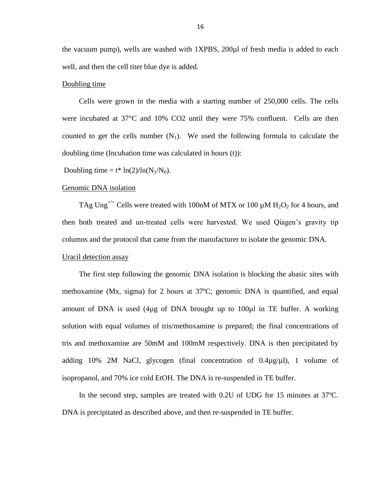the vacuum pump), wells are washed with 1XPBS, 200µl of fresh media is added to each well, and then the cell titer blue dye is added.

### Doubling time

Cells were grown in the media with a starting number of 250,000 cells. The cells were incubated at 37°C and 10% CO2 until they were 75% confluent. Cells are then counted to get the cells number  $(N_1)$ . We used the following formula to calculate the doubling time (Incubation time was calculated in hours (t)):

Doubling time =  $t^*$  ln(2)/ln(N<sub>1</sub>/N<sub>0</sub>).

### Genomic DNA isolation

TAg Ung<sup>+/+</sup> Cells were treated with 100nM of MTX or 100  $\mu$ M H<sub>2</sub>O<sub>2</sub> for 4 hours, and then both treated and un-treated cells were harvested. We used Qiagen's gravity tip columns and the protocol that came from the manufacturer to isolate the genomic DNA.

## Uracil detection assay

The first step following the genomic DNA isolation is blocking the abasic sites with methoxamine (Mx, sigma) for 2 hours at 37ºC; genomic DNA is quantified, and equal amount of DNA is used  $(4\mu g)$  of DNA brought up to 100 $\mu$ l in TE buffer. A working solution with equal volumes of tris/methoxamine is prepared; the final concentrations of tris and methoxamine are 50mM and 100mM respectively. DNA is then precipitated by adding 10% 2M NaCl, glycogen (final concentration of  $0.4\mu$ g/ $\mu$ l), 1 volume of isopropanol, and 70% ice cold EtOH. The DNA is re-suspended in TE buffer.

In the second step, samples are treated with 0.2U of UDG for 15 minutes at 37ºC. DNA is precipitated as described above, and then re-suspended in TE buffer.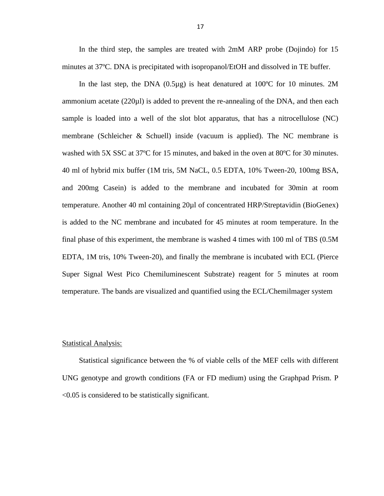In the third step, the samples are treated with 2mM ARP probe (Dojindo) for 15 minutes at 37ºC. DNA is precipitated with isopropanol/EtOH and dissolved in TE buffer.

In the last step, the DNA  $(0.5\mu g)$  is heat denatured at 100°C for 10 minutes. 2M ammonium acetate (220µl) is added to prevent the re-annealing of the DNA, and then each sample is loaded into a well of the slot blot apparatus, that has a nitrocellulose (NC) membrane (Schleicher & Schuell) inside (vacuum is applied). The NC membrane is washed with 5X SSC at 37ºC for 15 minutes, and baked in the oven at 80ºC for 30 minutes. 40 ml of hybrid mix buffer (1M tris, 5M NaCL, 0.5 EDTA, 10% Tween-20, 100mg BSA, and 200mg Casein) is added to the membrane and incubated for 30min at room temperature. Another 40 ml containing 20µl of concentrated HRP/Streptavidin (BioGenex) is added to the NC membrane and incubated for 45 minutes at room temperature. In the final phase of this experiment, the membrane is washed 4 times with 100 ml of TBS (0.5M EDTA, 1M tris, 10% Tween-20), and finally the membrane is incubated with ECL (Pierce Super Signal West Pico Chemiluminescent Substrate) reagent for 5 minutes at room temperature. The bands are visualized and quantified using the ECL/Chemilmager system

### Statistical Analysis:

Statistical significance between the % of viable cells of the MEF cells with different UNG genotype and growth conditions (FA or FD medium) using the Graphpad Prism. P <0.05 is considered to be statistically significant.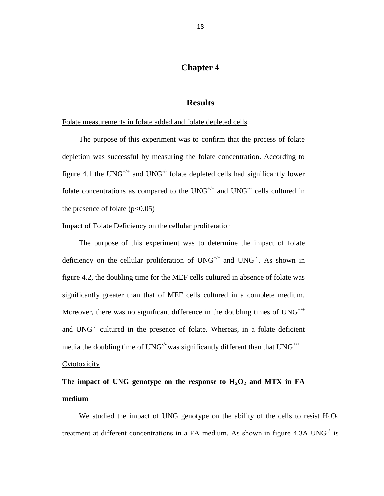# **Chapter 4**

## **Results**

### <span id="page-23-0"></span>Folate measurements in folate added and folate depleted cells

The purpose of this experiment was to confirm that the process of folate depletion was successful by measuring the folate concentration. According to figure 4.1 the UNG<sup>+/+</sup> and UNG<sup>-/-</sup> folate depleted cells had significantly lower folate concentrations as compared to the  $UNG^{+/-}$  and  $UNG^{-/-}$  cells cultured in the presence of folate  $(p<0.05)$ 

### Impact of Folate Deficiency on the cellular proliferation

The purpose of this experiment was to determine the impact of folate deficiency on the cellular proliferation of  $UNG^{+\prime+}$  and  $UNG^{-/-}$ . As shown in figure 4.2, the doubling time for the MEF cells cultured in absence of folate was significantly greater than that of MEF cells cultured in a complete medium. Moreover, there was no significant difference in the doubling times of  $UNG^{+/+}$ and  $UNG^{-1}$  cultured in the presence of folate. Whereas, in a folate deficient media the doubling time of UNG<sup>-/-</sup> was significantly different than that UNG<sup>+/+</sup>.

### Cytotoxicity

# The impact of UNG genotype on the response to  $H_2O_2$  and MTX in FA **medium**

We studied the impact of UNG genotype on the ability of the cells to resist  $H_2O_2$ treatment at different concentrations in a FA medium. As shown in figure 4.3A UNG $^{\prime}$  is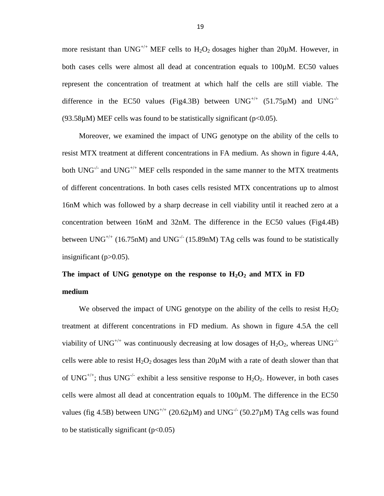more resistant than  $UNG^{+/+}$  MEF cells to  $H_2O_2$  dosages higher than 20µM. However, in both cases cells were almost all dead at concentration equals to 100µM. EC50 values represent the concentration of treatment at which half the cells are still viable. The difference in the EC50 values (Fig4.3B) between  $UNG^{+/-}$  (51.75 $\mu$ M) and  $UNG^{-/-}$ (93.58 $\mu$ M) MEF cells was found to be statistically significant (p<0.05).

Moreover, we examined the impact of UNG genotype on the ability of the cells to resist MTX treatment at different concentrations in FA medium. As shown in figure 4.4A, both  $UNG^{-/-}$  and  $UNG^{+/+}$  MEF cells responded in the same manner to the MTX treatments of different concentrations. In both cases cells resisted MTX concentrations up to almost 16nM which was followed by a sharp decrease in cell viability until it reached zero at a concentration between 16nM and 32nM. The difference in the EC50 values (Fig4.4B) between UNG<sup>+/+</sup> (16.75nM) and UNG<sup>-/-</sup> (15.89nM) TAg cells was found to be statistically insignificant (p>0.05).

# The impact of UNG genotype on the response to  $H_2O_2$  and MTX in FD **medium**

We observed the impact of UNG genotype on the ability of the cells to resist  $H_2O_2$ treatment at different concentrations in FD medium. As shown in figure 4.5A the cell viability of UNG<sup>+/+</sup> was continuously decreasing at low dosages of  $H_2O_2$ , whereas UNG<sup>-/-</sup> cells were able to resist  $H_2O_2$  dosages less than 20 $\mu$ M with a rate of death slower than that of UNG<sup>+/+</sup>; thus UNG<sup>-/-</sup> exhibit a less sensitive response to  $H_2O_2$ . However, in both cases cells were almost all dead at concentration equals to 100µM. The difference in the EC50 values (fig 4.5B) between UNG<sup>+/+</sup> (20.62 $\mu$ M) and UNG<sup>-/-</sup> (50.27 $\mu$ M) TAg cells was found to be statistically significant  $(p<0.05)$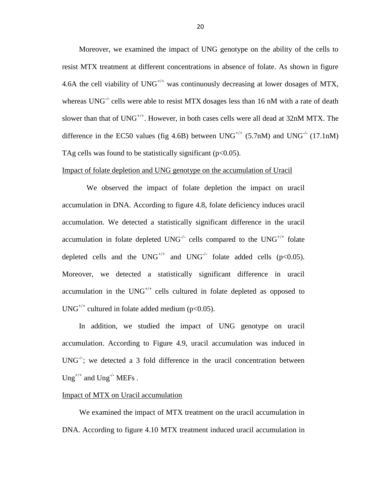Moreover, we examined the impact of UNG genotype on the ability of the cells to resist MTX treatment at different concentrations in absence of folate. As shown in figure 4.6A the cell viability of  $UNG^{+/-}$  was continuously decreasing at lower dosages of MTX, whereas  $UNG<sup>-/-</sup>$  cells were able to resist MTX dosages less than 16 nM with a rate of death slower than that of  $UNG^{+/+}$ . However, in both cases cells were all dead at 32nM MTX. The difference in the EC50 values (fig 4.6B) between  $UNG^{+/+}$  (5.7nM) and  $UNG^{-/-}$  (17.1nM) TAg cells was found to be statistically significant  $(p<0.05)$ .

### Impact of folate depletion and UNG genotype on the accumulation of Uracil

 We observed the impact of folate depletion the impact on uracil accumulation in DNA. According to figure 4.8, folate deficiency induces uracil accumulation. We detected a statistically significant difference in the uracil accumulation in folate depleted  $UNG^{-/-}$  cells compared to the  $UNG^{+/-}$  folate depleted cells and the UNG<sup>+/+</sup> and UNG<sup>-/-</sup> folate added cells (p<0.05). Moreover, we detected a statistically significant difference in uracil accumulation in the  $UNG^{+/+}$  cells cultured in folate depleted as opposed to  $UNG^{+/+}$  cultured in folate added medium (p<0.05).

In addition, we studied the impact of UNG genotype on uracil accumulation. According to Figure 4.9, uracil accumulation was induced in  $UNG<sup>-/-</sup>$ ; we detected a 3 fold difference in the uracil concentration between  $Ung^{+/+}$  and  $Ung^{-/-}$  MEFs.

### Impact of MTX on Uracil accumulation

We examined the impact of MTX treatment on the uracil accumulation in DNA. According to figure 4.10 MTX treatment induced uracil accumulation in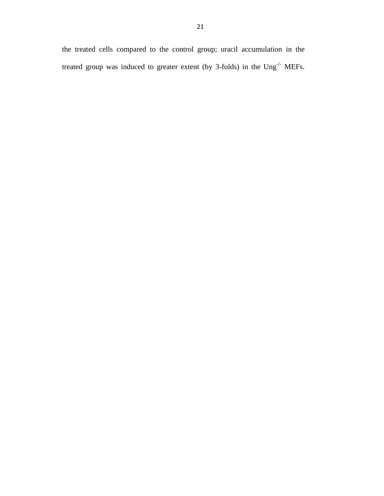the treated cells compared to the control group; uracil accumulation in the treated group was induced to greater extent (by 3-folds) in the Ung<sup>-/-</sup> MEFs.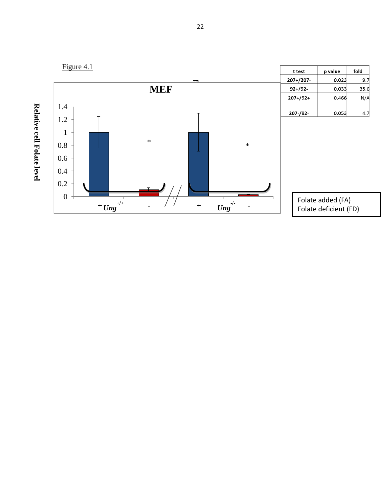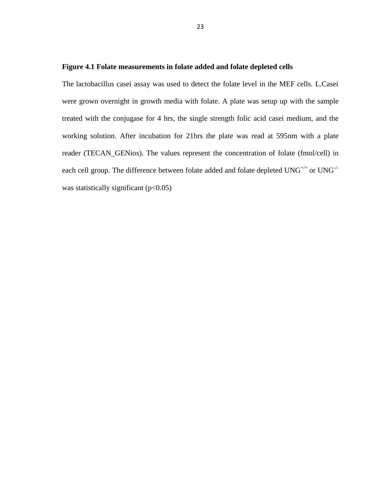## <span id="page-28-0"></span>**Figure 4.1 Folate measurements in folate added and folate depleted cells**

The lactobacillus casei assay was used to detect the folate level in the MEF cells. L.Casei were grown overnight in growth media with folate. A plate was setup up with the sample treated with the conjugase for 4 hrs, the single strength folic acid casei medium, and the working solution. After incubation for 21hrs the plate was read at 595nm with a plate reader (TECAN\_GENios). The values represent the concentration of folate (fmol/cell) in each cell group. The difference between folate added and folate depleted  $UNG^{+/+}$  or  $UNG^{-/-}$ was statistically significant  $(p<0.05)$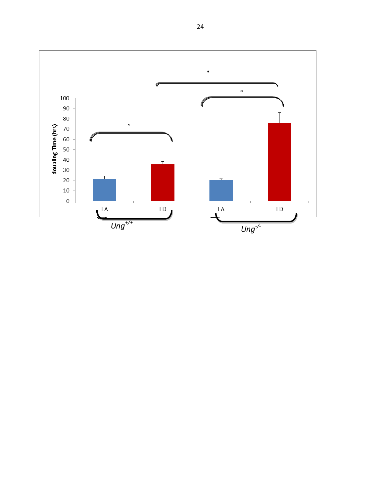<span id="page-29-0"></span>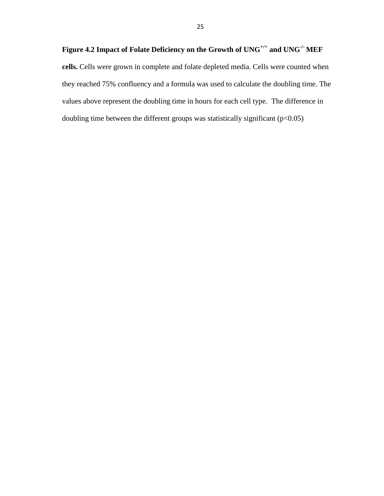**cells.** Cells were grown in complete and folate depleted media. Cells were counted when they reached 75% confluency and a formula was used to calculate the doubling time. The values above represent the doubling time in hours for each cell type. The difference in doubling time between the different groups was statistically significant (p<0.05)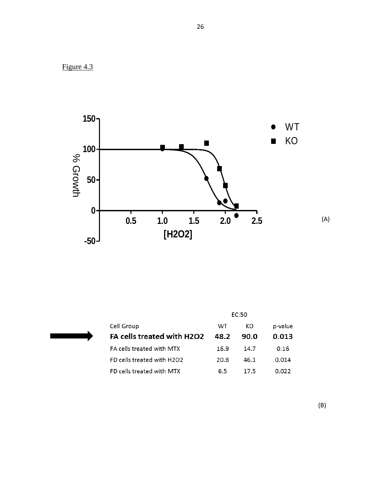



|                            |      | EC:50 |         |
|----------------------------|------|-------|---------|
| Cell Group                 | WТ   | KO.   | p-value |
| FA cells treated with H2O2 | 48.2 | 90.O  | 0.013   |
| FA cells treated with MTX  | 16.9 | 14.7  | 0.16    |
| FD cells treated with H2O2 | 20.8 | 46.1  | 0.014   |
| FD cells treated with MTX  | 6.5  | 17.5  | በ በ22   |

(B)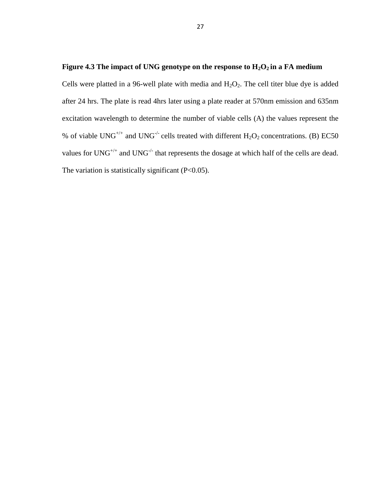# <span id="page-32-0"></span>**Figure 4.3 The impact of UNG genotype on the response to H2O2 in a FA medium**

Cells were platted in a 96-well plate with media and  $H_2O_2$ . The cell titer blue dye is added after 24 hrs. The plate is read 4hrs later using a plate reader at 570nm emission and 635nm excitation wavelength to determine the number of viable cells (A) the values represent the % of viable UNG<sup>+/+</sup> and UNG<sup>-/-</sup> cells treated with different  $H_2O_2$  concentrations. (B) EC50 values for UNG<sup>+/+</sup> and UNG<sup>-/-</sup> that represents the dosage at which half of the cells are dead. The variation is statistically significant (P<0.05).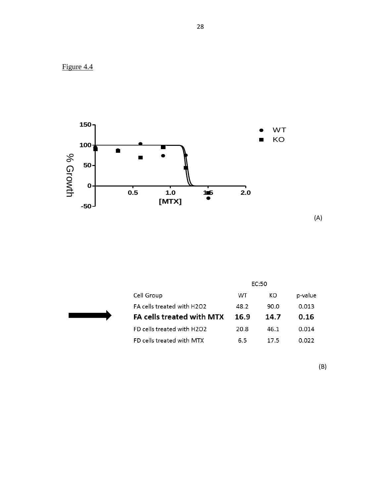



(A)

|                            | <b>FC:50</b> |      |         |
|----------------------------|--------------|------|---------|
| Cell Group                 | WТ           | КO   | p-value |
| FA cells treated with H2O2 | 48.2         | 90.0 | 0.013   |
| FA cells treated with MTX  | 16.9         | 14.7 | 0.16    |
| FD cells treated with H2O2 | 20.8         | 46.1 | 0.014   |
| FD cells treated with MTX  | 6.5          | 175  | 0.022   |

(B)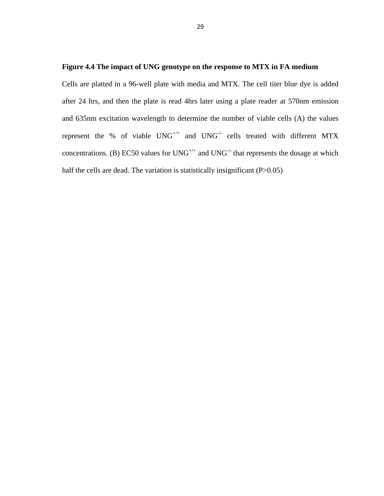### <span id="page-34-0"></span>**Figure 4.4 The impact of UNG genotype on the response to MTX in FA medium**

Cells are platted in a 96-well plate with media and MTX. The cell titer blue dye is added after 24 hrs, and then the plate is read 4hrs later using a plate reader at 570nm emission and 635nm excitation wavelength to determine the number of viable cells (A) the values represent the % of viable  $UNG^{+/+}$  and  $UNG^{-/-}$  cells treated with different MTX concentrations. (B) EC50 values for  $UNG^{+/+}$  and  $UNG^{-/-}$  that represents the dosage at which half the cells are dead. The variation is statistically insignificant  $(P>0.05)$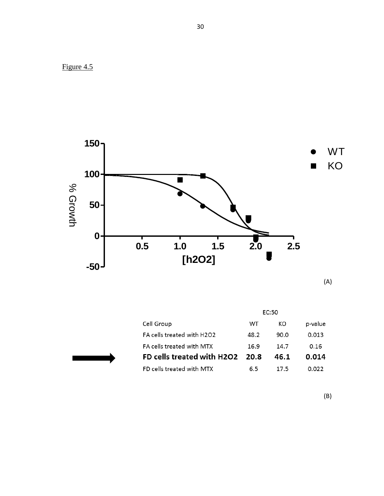



(A)

|                                  | EC:50 |      |         |  |
|----------------------------------|-------|------|---------|--|
| Cell Group                       | WТ    | КO   | p-value |  |
| FA cells treated with H2O2       | 48.2  | 90.0 | 0.013   |  |
| <b>FA cells treated with MTX</b> | 16.9  | 14.7 | 0.16    |  |
| FD cells treated with H2O2       | 20.8  | 46.1 | 0.014   |  |
| FD cells treated with MTX        | 6.5   | 17.5 |         |  |

(B)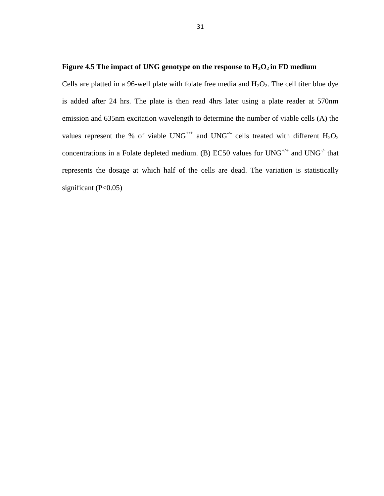### <span id="page-36-0"></span>**Figure 4.5** The impact of UNG genotype on the response to  $H_2O_2$  in FD medium

Cells are platted in a 96-well plate with folate free media and  $H_2O_2$ . The cell titer blue dye is added after 24 hrs. The plate is then read 4hrs later using a plate reader at 570nm emission and 635nm excitation wavelength to determine the number of viable cells (A) the values represent the % of viable  $UNG^{+/+}$  and  $UNG^{-/-}$  cells treated with different  $H_2O_2$ concentrations in a Folate depleted medium. (B) EC50 values for  $UNG^{+/+}$  and  $UNG^{-/-}$  that represents the dosage at which half of the cells are dead. The variation is statistically significant  $(P<0.05)$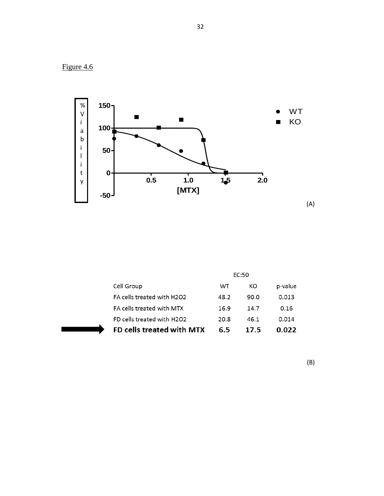Figure 4.6



|                            |      | EC:50 |         |
|----------------------------|------|-------|---------|
| Cell Group                 | WТ   | КO    | p-value |
| FA cells treated with H2O2 | 48.2 | 90.0  | 0.013   |
| FA cells treated with MTX  | 16.9 | 14.7  | 0.16    |
| FD cells treated with H2O2 | 20.8 | 46.1  | 0.014   |
| FD cells treated with MTX  | 65   | 17.5  | 0.022   |

(B)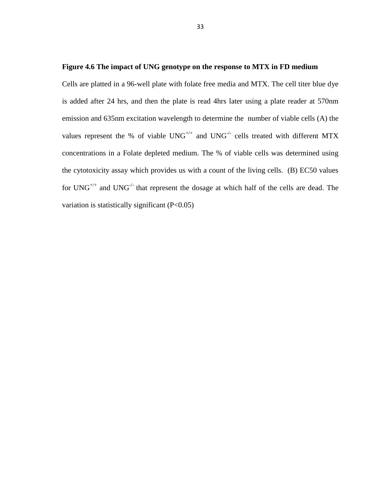### <span id="page-38-0"></span>**Figure 4.6 The impact of UNG genotype on the response to MTX in FD medium**

Cells are platted in a 96-well plate with folate free media and MTX. The cell titer blue dye is added after 24 hrs, and then the plate is read 4hrs later using a plate reader at 570nm emission and 635nm excitation wavelength to determine the number of viable cells (A) the values represent the % of viable  $UNG^{+/+}$  and  $UNG^{-/-}$  cells treated with different MTX concentrations in a Folate depleted medium. The % of viable cells was determined using the cytotoxicity assay which provides us with a count of the living cells. (B) EC50 values for UNG<sup>+/+</sup> and UNG<sup>-/-</sup> that represent the dosage at which half of the cells are dead. The variation is statistically significant (P<0.05)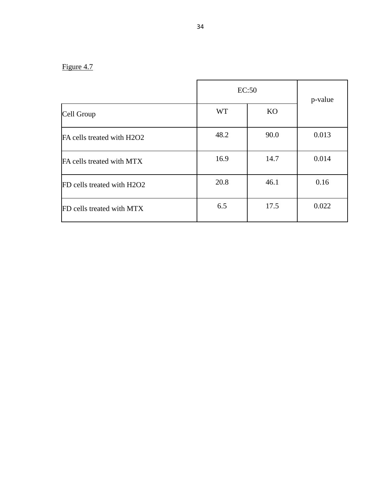# Figure 4.7

|                            | EC:50     | p-value |       |
|----------------------------|-----------|---------|-------|
| Cell Group                 | <b>WT</b> | KO      |       |
| FA cells treated with H2O2 | 48.2      | 90.0    | 0.013 |
| FA cells treated with MTX  | 16.9      | 14.7    | 0.014 |
| FD cells treated with H2O2 | 20.8      | 46.1    | 0.16  |
| FD cells treated with MTX  | 6.5       | 17.5    | 0.022 |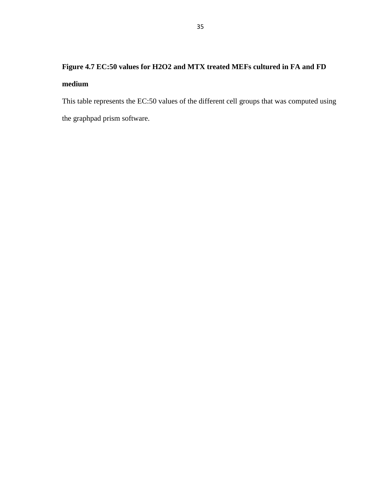# <span id="page-40-0"></span>**Figure 4.7 EC:50 values for H2O2 and MTX treated MEFs cultured in FA and FD medium**

This table represents the EC:50 values of the different cell groups that was computed using the graphpad prism software.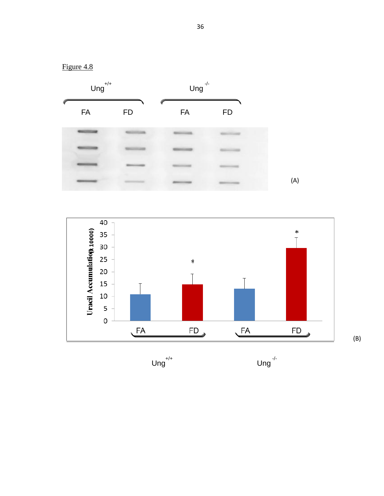

(B)

Figure 4.8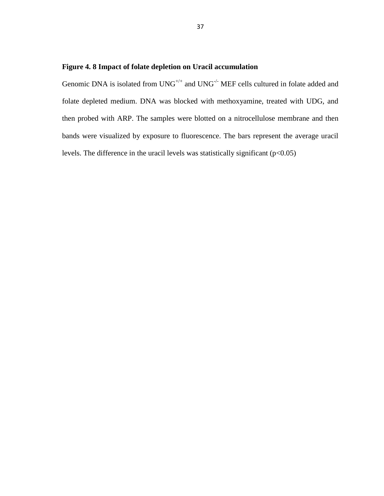# <span id="page-42-0"></span>**Figure 4. 8 Impact of folate depletion on Uracil accumulation**

Genomic DNA is isolated from UNG<sup>+/+</sup> and UNG<sup>-/-</sup> MEF cells cultured in folate added and folate depleted medium. DNA was blocked with methoxyamine, treated with UDG, and then probed with ARP. The samples were blotted on a nitrocellulose membrane and then bands were visualized by exposure to fluorescence. The bars represent the average uracil levels. The difference in the uracil levels was statistically significant  $(p<0.05)$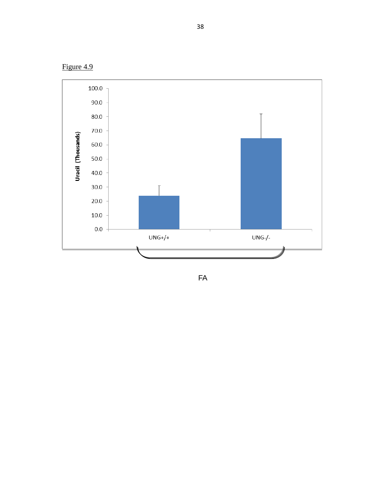Figure 4.9

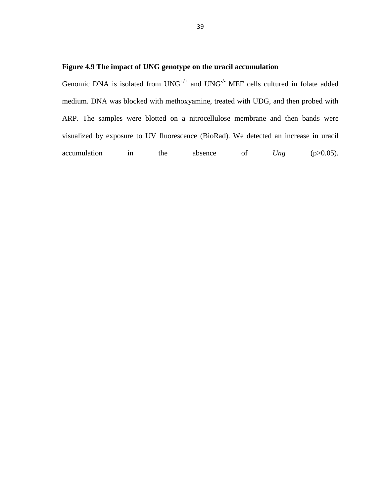# <span id="page-44-0"></span>**Figure 4.9 The impact of UNG genotype on the uracil accumulation**

Genomic DNA is isolated from  $UNG^{++}$  and  $UNG^{-/-}$  MEF cells cultured in folate added medium. DNA was blocked with methoxyamine, treated with UDG, and then probed with ARP. The samples were blotted on a nitrocellulose membrane and then bands were visualized by exposure to UV fluorescence (BioRad). We detected an increase in uracil accumulation in the absence of *Ung* (p>0.05).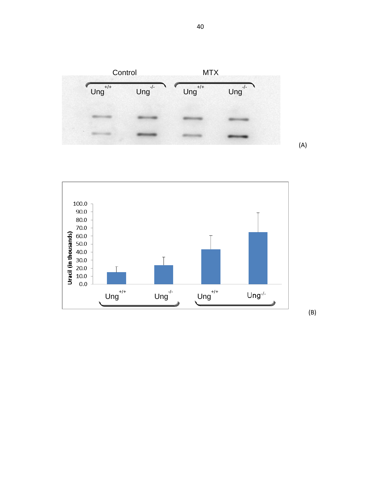



40

(A)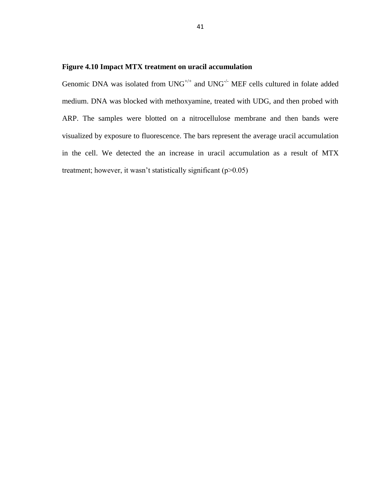## <span id="page-46-0"></span>**Figure 4.10 Impact MTX treatment on uracil accumulation**

Genomic DNA was isolated from  $UNG^{+/+}$  and  $UNG^{-/-}$  MEF cells cultured in folate added medium. DNA was blocked with methoxyamine, treated with UDG, and then probed with ARP. The samples were blotted on a nitrocellulose membrane and then bands were visualized by exposure to fluorescence. The bars represent the average uracil accumulation in the cell. We detected the an increase in uracil accumulation as a result of MTX treatment; however, it wasn't statistically significant (p>0.05)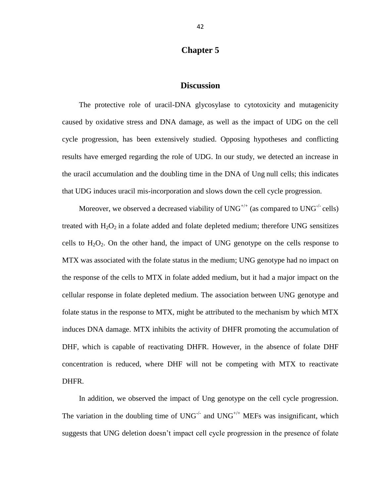# **Chapter 5**

# **Discussion**

<span id="page-47-0"></span>The protective role of uracil-DNA glycosylase to cytotoxicity and mutagenicity caused by oxidative stress and DNA damage, as well as the impact of UDG on the cell cycle progression, has been extensively studied. Opposing hypotheses and conflicting results have emerged regarding the role of UDG. In our study, we detected an increase in the uracil accumulation and the doubling time in the DNA of Ung null cells; this indicates that UDG induces uracil mis-incorporation and slows down the cell cycle progression.

Moreover, we observed a decreased viability of  $UNG^{+/+}$  (as compared to  $UNG^{-/-}$  cells) treated with  $H_2O_2$  in a folate added and folate depleted medium; therefore UNG sensitizes cells to  $H_2O_2$ . On the other hand, the impact of UNG genotype on the cells response to MTX was associated with the folate status in the medium; UNG genotype had no impact on the response of the cells to MTX in folate added medium, but it had a major impact on the cellular response in folate depleted medium. The association between UNG genotype and folate status in the response to MTX, might be attributed to the mechanism by which MTX induces DNA damage. MTX inhibits the activity of DHFR promoting the accumulation of DHF, which is capable of reactivating DHFR. However, in the absence of folate DHF concentration is reduced, where DHF will not be competing with MTX to reactivate DHFR.

In addition, we observed the impact of Ung genotype on the cell cycle progression. The variation in the doubling time of  $UNG^{-/-}$  and  $UNG^{+/+}$  MEFs was insignificant, which suggests that UNG deletion doesn't impact cell cycle progression in the presence of folate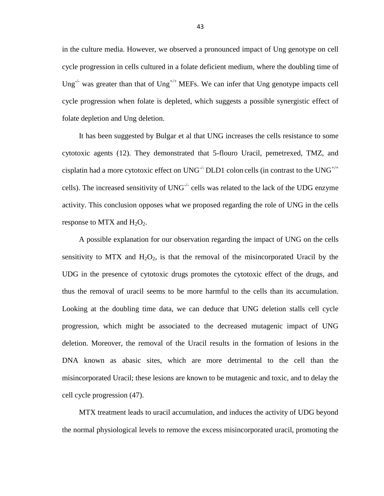in the culture media. However, we observed a pronounced impact of Ung genotype on cell cycle progression in cells cultured in a folate deficient medium, where the doubling time of Ung<sup>-/-</sup> was greater than that of Ung<sup>+/+</sup> MEFs. We can infer that Ung genotype impacts cell cycle progression when folate is depleted, which suggests a possible synergistic effect of folate depletion and Ung deletion.

It has been suggested by Bulgar et al that UNG increases the cells resistance to some cytotoxic agents (12). They demonstrated that 5-flouro Uracil, pemetrexed, TMZ, and cisplatin had a more cytotoxic effect on  $UNG^{-/-}$  DLD1 colon cells (in contrast to the  $UNG^{+/+}$ cells). The increased sensitivity of  $UNG<sup>-/-</sup>$  cells was related to the lack of the UDG enzyme activity. This conclusion opposes what we proposed regarding the role of UNG in the cells response to MTX and  $H_2O_2$ .

A possible explanation for our observation regarding the impact of UNG on the cells sensitivity to MTX and  $H_2O_2$ , is that the removal of the misincorporated Uracil by the UDG in the presence of cytotoxic drugs promotes the cytotoxic effect of the drugs, and thus the removal of uracil seems to be more harmful to the cells than its accumulation. Looking at the doubling time data, we can deduce that UNG deletion stalls cell cycle progression, which might be associated to the decreased mutagenic impact of UNG deletion. Moreover, the removal of the Uracil results in the formation of lesions in the DNA known as abasic sites, which are more detrimental to the cell than the misincorporated Uracil; these lesions are known to be mutagenic and toxic, and to delay the cell cycle progression (47).

MTX treatment leads to uracil accumulation, and induces the activity of UDG beyond the normal physiological levels to remove the excess misincorporated uracil, promoting the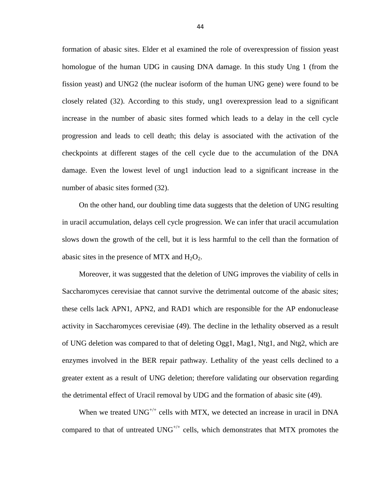formation of abasic sites. Elder et al examined the role of overexpression of fission yeast homologue of the human UDG in causing DNA damage. In this study Ung 1 (from the fission yeast) and UNG2 (the nuclear isoform of the human UNG gene) were found to be closely related (32). According to this study, ung1 overexpression lead to a significant increase in the number of abasic sites formed which leads to a delay in the cell cycle progression and leads to cell death; this delay is associated with the activation of the checkpoints at different stages of the cell cycle due to the accumulation of the DNA damage. Even the lowest level of ung1 induction lead to a significant increase in the number of abasic sites formed (32).

On the other hand, our doubling time data suggests that the deletion of UNG resulting in uracil accumulation, delays cell cycle progression. We can infer that uracil accumulation slows down the growth of the cell, but it is less harmful to the cell than the formation of abasic sites in the presence of MTX and  $H_2O_2$ .

Moreover, it was suggested that the deletion of UNG improves the viability of cells in Saccharomyces cerevisiae that cannot survive the detrimental outcome of the abasic sites; these cells lack APN1, APN2, and RAD1 which are responsible for the AP endonuclease activity in Saccharomyces cerevisiae (49). The decline in the lethality observed as a result of UNG deletion was compared to that of deleting Ogg1, Mag1, Ntg1, and Ntg2, which are enzymes involved in the BER repair pathway. Lethality of the yeast cells declined to a greater extent as a result of UNG deletion; therefore validating our observation regarding the detrimental effect of Uracil removal by UDG and the formation of abasic site (49).

When we treated  $UNG^{+/+}$  cells with MTX, we detected an increase in uracil in DNA compared to that of untreated  $UNG^{+/+}$  cells, which demonstrates that MTX promotes the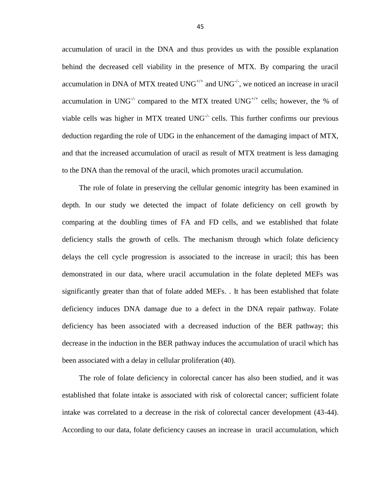accumulation of uracil in the DNA and thus provides us with the possible explanation behind the decreased cell viability in the presence of MTX. By comparing the uracil accumulation in DNA of MTX treated  $UNG^{+/+}$  and  $UNG^{-/-}$ , we noticed an increase in uracil accumulation in UNG<sup>-/-</sup> compared to the MTX treated UNG<sup>+/+</sup> cells; however, the % of viable cells was higher in MTX treated  $UNG<sup>-/-</sup>$  cells. This further confirms our previous deduction regarding the role of UDG in the enhancement of the damaging impact of MTX, and that the increased accumulation of uracil as result of MTX treatment is less damaging to the DNA than the removal of the uracil, which promotes uracil accumulation.

The role of folate in preserving the cellular genomic integrity has been examined in depth. In our study we detected the impact of folate deficiency on cell growth by comparing at the doubling times of FA and FD cells, and we established that folate deficiency stalls the growth of cells. The mechanism through which folate deficiency delays the cell cycle progression is associated to the increase in uracil; this has been demonstrated in our data, where uracil accumulation in the folate depleted MEFs was significantly greater than that of folate added MEFs. . It has been established that folate deficiency induces DNA damage due to a defect in the DNA repair pathway. Folate deficiency has been associated with a decreased induction of the BER pathway; this decrease in the induction in the BER pathway induces the accumulation of uracil which has been associated with a delay in cellular proliferation (40).

The role of folate deficiency in colorectal cancer has also been studied, and it was established that folate intake is associated with risk of colorectal cancer; sufficient folate intake was correlated to a decrease in the risk of colorectal cancer development (43-44). According to our data, folate deficiency causes an increase in uracil accumulation, which

45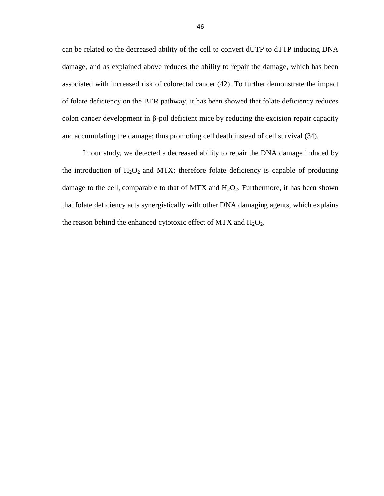can be related to the decreased ability of the cell to convert dUTP to dTTP inducing DNA damage, and as explained above reduces the ability to repair the damage, which has been associated with increased risk of colorectal cancer (42). To further demonstrate the impact of folate deficiency on the BER pathway, it has been showed that folate deficiency reduces colon cancer development in β-pol deficient mice by reducing the excision repair capacity and accumulating the damage; thus promoting cell death instead of cell survival (34).

 In our study, we detected a decreased ability to repair the DNA damage induced by the introduction of  $H_2O_2$  and MTX; therefore folate deficiency is capable of producing damage to the cell, comparable to that of MTX and  $H_2O_2$ . Furthermore, it has been shown that folate deficiency acts synergistically with other DNA damaging agents, which explains the reason behind the enhanced cytotoxic effect of MTX and  $H_2O_2$ .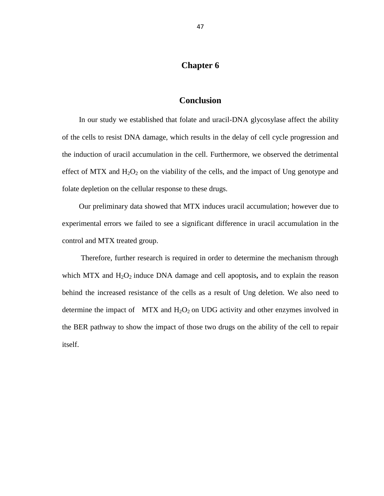# **Chapter 6**

# **Conclusion**

<span id="page-52-0"></span>In our study we established that folate and uracil-DNA glycosylase affect the ability of the cells to resist DNA damage, which results in the delay of cell cycle progression and the induction of uracil accumulation in the cell. Furthermore, we observed the detrimental effect of MTX and  $H_2O_2$  on the viability of the cells, and the impact of Ung genotype and folate depletion on the cellular response to these drugs.

Our preliminary data showed that MTX induces uracil accumulation; however due to experimental errors we failed to see a significant difference in uracil accumulation in the control and MTX treated group.

Therefore, further research is required in order to determine the mechanism through which MTX and H<sub>2</sub>O<sub>2</sub> induce DNA damage and cell apoptosis, and to explain the reason behind the increased resistance of the cells as a result of Ung deletion. We also need to determine the impact of MTX and  $H_2O_2$  on UDG activity and other enzymes involved in the BER pathway to show the impact of those two drugs on the ability of the cell to repair itself.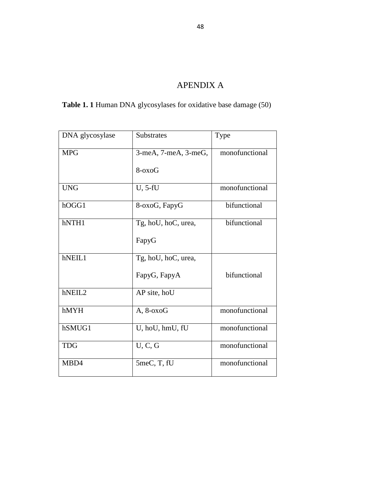# APENDIX A

<span id="page-53-0"></span>**Table 1. 1** Human DNA glycosylases for oxidative base damage (50)

| DNA glycosylase | Substrates           | Type           |
|-----------------|----------------------|----------------|
| <b>MPG</b>      | 3-meA, 7-meA, 3-meG, | monofunctional |
|                 | $8-0x0G$             |                |
| <b>UNG</b>      | U, 5-fU              | monofunctional |
| hOGG1           | 8-oxoG, FapyG        | bifunctional   |
| hNTH1           | Tg, hoU, hoC, urea,  | bifunctional   |
|                 | FapyG                |                |
| hNEIL1          | Tg, hoU, hoC, urea,  |                |
|                 | FapyG, FapyA         | bifunctional   |
| hNEIL2          | AP site, hoU         |                |
| hMYH            | $A, 8-oxoG$          | monofunctional |
| hSMUG1          | U, hoU, hmU, fU      | monofunctional |
| <b>TDG</b>      | U, C, G              | monofunctional |
| MBD4            | 5meC, T, fU          | monofunctional |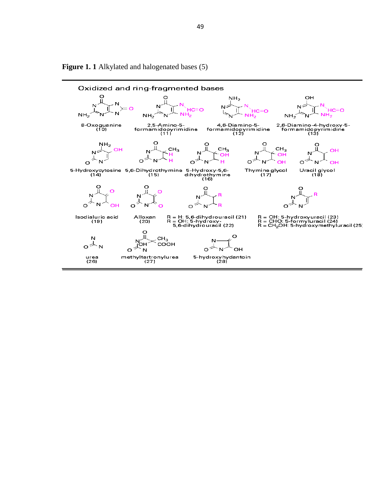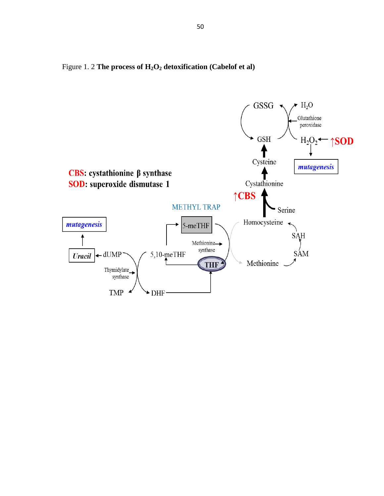

Figure 1. 2 **The process of H2O<sup>2</sup> detoxification (Cabelof et al)**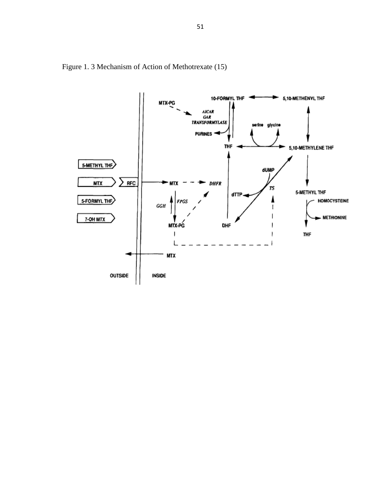

Figure 1. 3 Mechanism of Action of Methotrexate (15)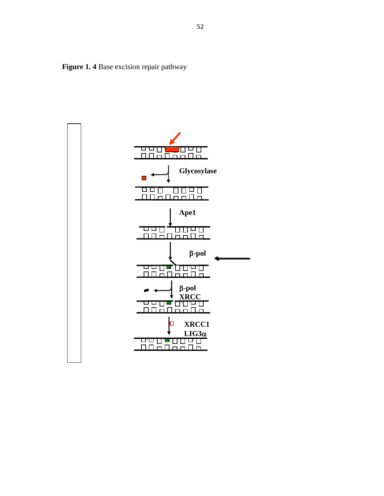

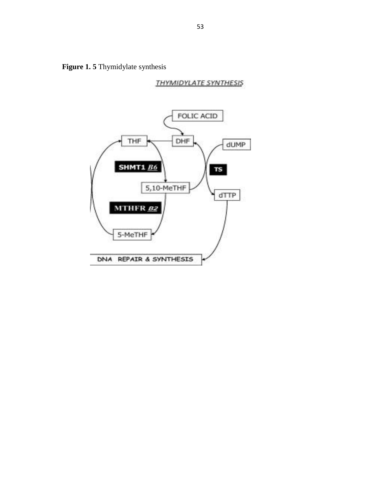**Figure 1. 5** Thymidylate synthesis

**THYMIDYLATE SYNTHESIS** 

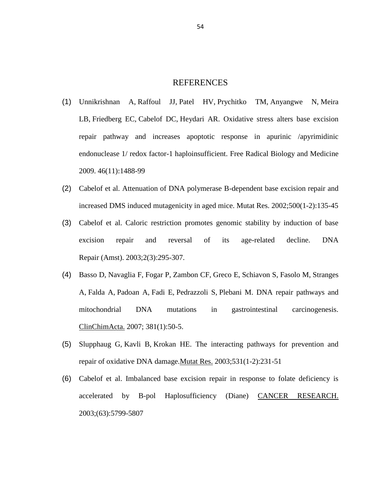# REFERENCES

- <span id="page-59-0"></span>(1) [Unnikrishnan](http://www.ncbi.nlm.nih.gov.proxy.lib.wayne.edu/pubmed?term=%22Unnikrishnan%20A%22%5BAuthor%5D) A, [Raffoul](http://www.ncbi.nlm.nih.gov.proxy.lib.wayne.edu/pubmed?term=%22Raffoul%20JJ%22%5BAuthor%5D) JJ, [Patel](http://www.ncbi.nlm.nih.gov.proxy.lib.wayne.edu/pubmed?term=%22Patel%20HV%22%5BAuthor%5D) HV, [Prychitko](http://www.ncbi.nlm.nih.gov.proxy.lib.wayne.edu/pubmed?term=%22Prychitko%20TM%22%5BAuthor%5D) TM, [Anyangwe](http://www.ncbi.nlm.nih.gov.proxy.lib.wayne.edu/pubmed?term=%22Anyangwe%20N%22%5BAuthor%5D) N, [Meira](http://www.ncbi.nlm.nih.gov.proxy.lib.wayne.edu/pubmed?term=%22Meira%20LB%22%5BAuthor%5D) [LB,](http://www.ncbi.nlm.nih.gov.proxy.lib.wayne.edu/pubmed?term=%22Meira%20LB%22%5BAuthor%5D) [Friedberg](http://www.ncbi.nlm.nih.gov.proxy.lib.wayne.edu/pubmed?term=%22Friedberg%20EC%22%5BAuthor%5D) EC, [Cabelof](http://www.ncbi.nlm.nih.gov.proxy.lib.wayne.edu/pubmed?term=%22Cabelof%20DC%22%5BAuthor%5D) DC, [Heydari](http://www.ncbi.nlm.nih.gov.proxy.lib.wayne.edu/pubmed?term=%22Heydari%20AR%22%5BAuthor%5D) AR. Oxidative stress alters base excision repair pathway and increases apoptotic response in apurinic /apyrimidinic endonuclease 1/ redox factor-1 haploinsufficient. Free Radical Biology and Medicine 2009. 46(11):1488-99
- (2) Cabelof et al. Attenuation of DNA polymerase B-dependent base excision repair and increased DMS induced mutagenicity in aged mice. Mutat Res. 2002;500(1-2):135-45
- (3) Cabelof et al. Caloric restriction promotes genomic stability by induction of base excision repair and reversal of its age-related decline. [DNA](http://www.ncbi.nlm.nih.gov.proxy.lib.wayne.edu/pubmed?term=(3)%09Caloric%20restriction%20promotes%20genomic%20stability%20by%20induction%20of%20base%20excision%20repair%20and%20reversal%20of%20its%20age-related%20decline) Repair [\(Amst\).](http://www.ncbi.nlm.nih.gov.proxy.lib.wayne.edu/pubmed?term=(3)%09Caloric%20restriction%20promotes%20genomic%20stability%20by%20induction%20of%20base%20excision%20repair%20and%20reversal%20of%20its%20age-related%20decline) 2003;2(3):295-307.
- (4) [Basso](http://www.ncbi.nlm.nih.gov.proxy.lib.wayne.edu/pubmed?term=%22Basso%20D%22%5BAuthor%5D) D, [Navaglia](http://www.ncbi.nlm.nih.gov.proxy.lib.wayne.edu/pubmed?term=%22Navaglia%20F%22%5BAuthor%5D) F, [Fogar](http://www.ncbi.nlm.nih.gov.proxy.lib.wayne.edu/pubmed?term=%22Fogar%20P%22%5BAuthor%5D) P, [Zambon](http://www.ncbi.nlm.nih.gov.proxy.lib.wayne.edu/pubmed?term=%22Zambon%20CF%22%5BAuthor%5D) CF, [Greco](http://www.ncbi.nlm.nih.gov.proxy.lib.wayne.edu/pubmed?term=%22Greco%20E%22%5BAuthor%5D) E, [Schiavon](http://www.ncbi.nlm.nih.gov.proxy.lib.wayne.edu/pubmed?term=%22Schiavon%20S%22%5BAuthor%5D) S, [Fasolo](http://www.ncbi.nlm.nih.gov.proxy.lib.wayne.edu/pubmed?term=%22Fasolo%20M%22%5BAuthor%5D) M, [Stranges](http://www.ncbi.nlm.nih.gov.proxy.lib.wayne.edu/pubmed?term=%22Stranges%20A%22%5BAuthor%5D) [A,](http://www.ncbi.nlm.nih.gov.proxy.lib.wayne.edu/pubmed?term=%22Stranges%20A%22%5BAuthor%5D) [Falda](http://www.ncbi.nlm.nih.gov.proxy.lib.wayne.edu/pubmed?term=%22Falda%20A%22%5BAuthor%5D) A, [Padoan](http://www.ncbi.nlm.nih.gov.proxy.lib.wayne.edu/pubmed?term=%22Padoan%20A%22%5BAuthor%5D) A, [Fadi](http://www.ncbi.nlm.nih.gov.proxy.lib.wayne.edu/pubmed?term=%22Fadi%20E%22%5BAuthor%5D) E, [Pedrazzoli](http://www.ncbi.nlm.nih.gov.proxy.lib.wayne.edu/pubmed?term=%22Pedrazzoli%20S%22%5BAuthor%5D) S, [Plebani](http://www.ncbi.nlm.nih.gov.proxy.lib.wayne.edu/pubmed?term=%22Plebani%20M%22%5BAuthor%5D) M. DNA repair pathways and mitochondrial DNA mutations in gastrointestinal carcinogenesis. [ClinChimActa.](http://www.ncbi.nlm.nih.gov.proxy.lib.wayne.edu/pubmed?term=(4)%09DNA%20repair%20pathways%20and%20mitochondrial%20DNA%20mutations%20in%20gastrointestinal%20%20carcinogenesis) 2007; 381(1):50-5.
- (5) [Slupphaug](http://www.ncbi.nlm.nih.gov.proxy.lib.wayne.edu/pubmed?term=%22Slupphaug%20G%22%5BAuthor%5D) G, [Kavli](http://www.ncbi.nlm.nih.gov.proxy.lib.wayne.edu/pubmed?term=%22Kavli%20B%22%5BAuthor%5D) B, [Krokan](http://www.ncbi.nlm.nih.gov.proxy.lib.wayne.edu/pubmed?term=%22Krokan%20HE%22%5BAuthor%5D) HE. The interacting pathways for prevention and repair of oxidative DNA damage[.Mutat](http://www.ncbi.nlm.nih.gov.proxy.lib.wayne.edu/pubmed?term=(5)%09The%20interacting%20pathways%20for%20prevention%20and%20repair%20of%20oxidative%20DNA%20damage.%20%20) Res. 2003;531(1-2):231-51
- (6) Cabelof et al. Imbalanced base excision repair in response to folate deficiency is accelerated by B-pol Haplosufficiency (Diane) CANCER RESEARCH. 2003;(63):5799-5807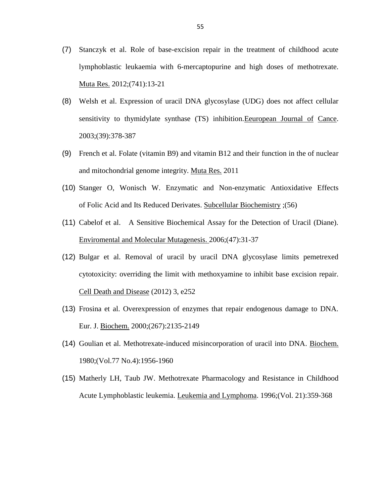- (7) Stanczyk et al. Role of base-excision repair in the treatment of childhood acute lymphoblastic leukaemia with 6-mercaptopurine and high doses of methotrexate. Muta Res. 2012;(741):13-21
- (8) Welsh et al. Expression of uracil DNA glycosylase (UDG) does not affect cellular sensitivity to thymidylate synthase (TS) inhibition.Eeuropean Journal of Cance. 2003;(39):378-387
- (9) French et al. Folate (vitamin B9) and vitamin B12 and their function in the of nuclear and mitochondrial genome integrity. Muta Res. 2011
- (10) Stanger O, Wonisch W. Enzymatic and Non-enzymatic Antioxidative Effects of Folic Acid and Its Reduced Derivates. Subcellular Biochemistry ;(56)
- (11) Cabelof et al. A Sensitive Biochemical Assay for the Detection of Uracil (Diane). Enviromental and Molecular Mutagenesis. 2006;(47):31-37
- (12) Bulgar et al. Removal of uracil by uracil DNA glycosylase limits pemetrexed cytotoxicity: overriding the limit with methoxyamine to inhibit base excision repair. Cell Death and Disease (2012) 3, e252
- (13) Frosina et al. Overexpression of enzymes that repair endogenous damage to DNA. Eur. J. Biochem. 2000;(267):2135-2149
- (14) Goulian et al. Methotrexate-induced misincorporation of uracil into DNA. Biochem. 1980;(Vol.77 No.4):1956-1960
- (15) Matherly LH, Taub JW. Methotrexate Pharmacology and Resistance in Childhood Acute Lymphoblastic leukemia. Leukemia and Lymphoma. 1996;(Vol. 21):359-368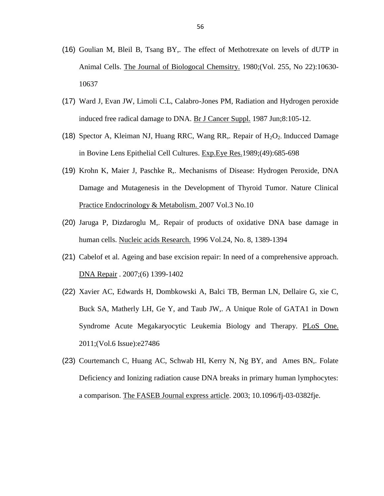- (16) Goulian M, Bleil B, Tsang BY,. The effect of Methotrexate on levels of dUTP in Animal Cells. The Journal of Biologocal Chemsitry. 1980;(Vol. 255, No 22):10630- 10637
- (17) Ward J, Evan JW, Limoli C.L, Calabro-Jones PM, Radiation and Hydrogen peroxide induced free radical damage to DNA. Br J [Cancer](http://www.ncbi.nlm.nih.gov.proxy.lib.wayne.edu/pubmed/2820457) Suppl. 1987 Jun;8:105-12.
- (18) Spector A, Kleiman NJ, Huang RRC, Wang RR,. Repair of  $H_2O_2$ . Inducced Damage in Bovine Lens Epithelial Cell Cultures. Exp.Eye Res.1989;(49):685-698
- (19) Krohn K, Maier J, Paschke R,. Mechanisms of Disease: Hydrogen Peroxide, DNA Damage and Mutagenesis in the Development of Thyroid Tumor. Nature Clinical Practice Endocrinology & Metabolism. 2007 Vol.3 No.10
- (20) Jaruga P, Dizdaroglu M,. Repair of products of oxidative DNA base damage in human cells. Nucleic acids Research. 1996 Vol.24, No. 8, 1389-1394
- (21) Cabelof et al. Ageing and base excision repair: In need of a comprehensive approach. DNA Repair . 2007;(6) 1399-1402
- (22) Xavier AC, Edwards H, Dombkowski A, Balci TB, Berman LN, Dellaire G, xie C, Buck SA, Matherly LH, Ge Y, and Taub JW,. A Unique Role of GATA1 in Down Syndrome Acute Megakaryocytic Leukemia Biology and Therapy. PLoS One. 2011;(Vol.6 Issue):e27486
- (23) Courtemanch C, Huang AC, Schwab HI, Kerry N, Ng BY, and Ames BN,. Folate Deficiency and Ionizing radiation cause DNA breaks in primary human lymphocytes: a comparison. The FASEB Journal express article. 2003; 10.1096/fj-03-0382fje.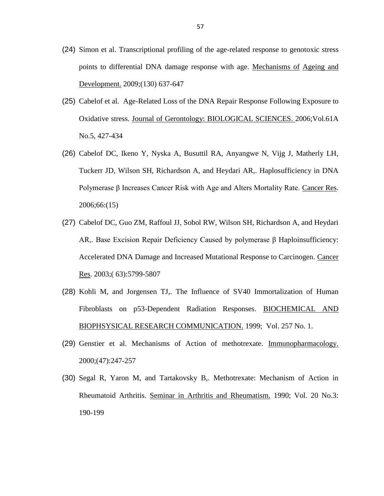- (24) Simon et al. Transcriptional profiling of the age-related response to genotoxic stress points to differential DNA damage response with age. Mechanisms of Ageing and Development. 2009;(130) 637-647
- (25) Cabelof et al. Age-Related Loss of the DNA Repair Response Following Exposure to Oxidative stress. Journal of Gerontology: BIOLOGICAL SCIENCES. 2006;Vol.61A No.5, 427-434
- (26) Cabelof DC, Ikeno Y, Nyska A, Busuttil RA, Anyangwe N, Vijg J, Matherly LH, Tuckerr JD, Wilson SH, Richardson A, and Heydari AR,. Haplosufficiency in DNA Polymerase β Increases Cancer Risk with Age and Alters Mortality Rate. Cancer Res. 2006;66:(15)
- (27) Cabelof DC, Guo ZM, Raffoul JJ, Sobol RW, Wilson SH, Richardson A, and Heydari AR,. Base Excision Repair Deficiency Caused by polymerase β Haploinsufficiency: Accelerated DNA Damage and Increased Mutational Response to Carcinogen. Cancer Res. 2003;( 63):5799-5807
- (28) Kohli M, and Jorgensen TJ,. The Influence of SV40 Immortalization of Human Fibroblasts on p53-Dependent Radiation Responses. BIOCHEMICAL AND BIOPHSYSICAL RESEARCH COMMUNICATION. 1999; Vol. 257 No. 1.
- (29) Genstier et al. Mechanisms of Action of methotrexate. Immunopharmacology. 2000;(47):247-257
- (30) Segal R, Yaron M, and Tartakovsky B,. Methotrexate: Mechanism of Action in Rheumatoid Arthritis. Seminar in Arthritis and Rheumatism. 1990; Vol. 20 No.3: 190-199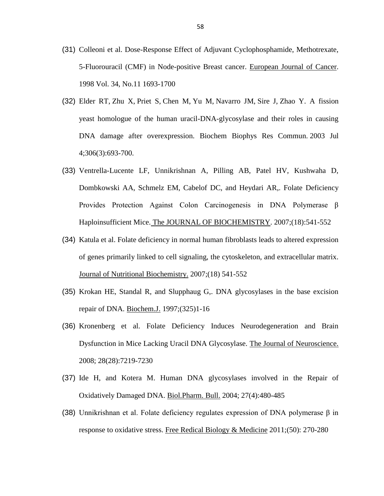- (31) Colleoni et al. Dose-Response Effect of Adjuvant Cyclophosphamide, Methotrexate, 5-Fluorouracil (CMF) in Node-positive Breast cancer. European Journal of Cancer. 1998 Vol. 34, No.11 1693-1700
- (32) [Elder](http://www.ncbi.nlm.nih.gov.proxy.lib.wayne.edu/pubmed?term=%22Elder%20RT%22%5BAuthor%5D) RT, [Zhu](http://www.ncbi.nlm.nih.gov.proxy.lib.wayne.edu/pubmed?term=%22Zhu%20X%22%5BAuthor%5D) X, [Priet](http://www.ncbi.nlm.nih.gov.proxy.lib.wayne.edu/pubmed?term=%22Priet%20S%22%5BAuthor%5D) S, [Chen](http://www.ncbi.nlm.nih.gov.proxy.lib.wayne.edu/pubmed?term=%22Chen%20M%22%5BAuthor%5D) M, [Yu](http://www.ncbi.nlm.nih.gov.proxy.lib.wayne.edu/pubmed?term=%22Yu%20M%22%5BAuthor%5D) M, [Navarro](http://www.ncbi.nlm.nih.gov.proxy.lib.wayne.edu/pubmed?term=%22Navarro%20JM%22%5BAuthor%5D) JM, [Sire](http://www.ncbi.nlm.nih.gov.proxy.lib.wayne.edu/pubmed?term=%22Sire%20J%22%5BAuthor%5D) J, [Zhao](http://www.ncbi.nlm.nih.gov.proxy.lib.wayne.edu/pubmed?term=%22Zhao%20Y%22%5BAuthor%5D) Y. A fission yeast homologue of the human uracil-DNA-glycosylase and their roles in causing DNA damage after overexpression. Biochem Biophys Res [Commun.](http://www.ncbi.nlm.nih.gov.proxy.lib.wayne.edu/pubmed?term=(32)%09A%20fission%20yeast%20homologue%20of%20the%20human%20uracil-DNA-glycosylase%20and%20their%20roles%20in%20causing%20DNA%20damage%20after%20overexpression) 2003 Jul 4;306(3):693-700.
- (33) Ventrella-Lucente LF, Unnikrishnan A, Pilling AB, Patel HV, Kushwaha D, Dombkowski AA, Schmelz EM, Cabelof DC, and Heydari AR,. Folate Deficiency Provides Protection Against Colon Carcinogenesis in DNA Polymerase β Haploinsufficient Mice. The JOURNAL OF BIOCHEMISTRY. 2007;(18):541-552
- (34) Katula et al. Folate deficiency in normal human fibroblasts leads to altered expression of genes primarily linked to cell signaling, the cytoskeleton, and extracellular matrix. Journal of Nutritional Biochemistry. 2007;(18) 541-552
- (35) Krokan HE, Standal R, and Slupphaug G,. DNA glycosylases in the base excision repair of DNA. Biochem.J. 1997;(325)1-16
- (36) Kronenberg et al. Folate Deficiency Induces Neurodegeneration and Brain Dysfunction in Mice Lacking Uracil DNA Glycosylase. The Journal of Neuroscience. 2008; 28(28):7219-7230
- (37) Ide H, and Kotera M. Human DNA glycosylases involved in the Repair of Oxidatively Damaged DNA. Biol.Pharm. Bull. 2004; 27(4):480-485
- (38) Unnikrishnan et al. Folate deficiency regulates expression of DNA polymerase β in response to oxidative stress. Free Redical Biology & Medicine 2011;(50): 270-280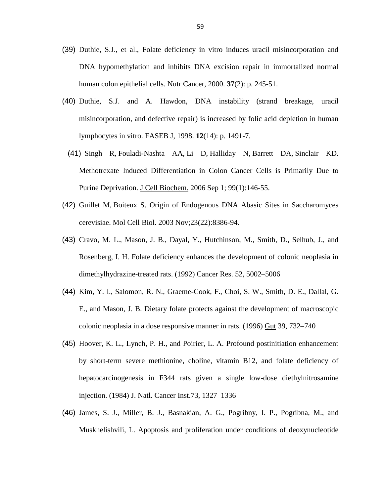- (39) Duthie, S.J., et al., Folate deficiency in vitro induces uracil misincorporation and DNA hypomethylation and inhibits DNA excision repair in immortalized normal human colon epithelial cells. Nutr Cancer, 2000. **37**(2): p. 245-51.
- (40) Duthie, S.J. and A. Hawdon, DNA instability (strand breakage, uracil misincorporation, and defective repair) is increased by folic acid depletion in human lymphocytes in vitro. FASEB J, 1998. **12**(14): p. 1491-7.
	- (41) [Singh](http://www.ncbi.nlm.nih.gov.proxy.lib.wayne.edu/pubmed?term=%22Singh%20R%22%5BAuthor%5D) R, [Fouladi-Nashta](http://www.ncbi.nlm.nih.gov.proxy.lib.wayne.edu/pubmed?term=%22Fouladi-Nashta%20AA%22%5BAuthor%5D) AA, Li [D,](http://www.ncbi.nlm.nih.gov.proxy.lib.wayne.edu/pubmed?term=%22Li%20D%22%5BAuthor%5D) [Halliday](http://www.ncbi.nlm.nih.gov.proxy.lib.wayne.edu/pubmed?term=%22Halliday%20N%22%5BAuthor%5D) N, [Barrett](http://www.ncbi.nlm.nih.gov.proxy.lib.wayne.edu/pubmed?term=%22Barrett%20DA%22%5BAuthor%5D) DA, [Sinclair](http://www.ncbi.nlm.nih.gov.proxy.lib.wayne.edu/pubmed?term=%22Sinclair%20KD%22%5BAuthor%5D) KD. Methotrexate Induced Differentiation in Colon Cancer Cells is Primarily Due to Purine Deprivation. J Cell [Biochem.](http://www.ncbi.nlm.nih.gov.proxy.lib.wayne.edu/pubmed?term=(39)%09Methotrexate%20Induced%20Differentiation%20in%20Colon%20Cancer%20Cells%20is%20Primarily%20Due%20to%20Purine%20Deprivation) 2006 Sep 1; 99(1):146-55.
- (42) [Guillet](http://www.ncbi.nlm.nih.gov.proxy.lib.wayne.edu/pubmed?term=%22Guillet%20M%22%5BAuthor%5D) M, [Boiteux](http://www.ncbi.nlm.nih.gov.proxy.lib.wayne.edu/pubmed?term=%22Boiteux%20S%22%5BAuthor%5D) S. Origin of Endogenous DNA Abasic Sites in Saccharomyces cerevisiae. Mol Cell [Biol.](http://www.ncbi.nlm.nih.gov.proxy.lib.wayne.edu/pubmed?term=(47)%09Origin%20of%20Endogenous%20DNA%20Abasic%20Sites%20in%20Saccharomyces%20cerevisiae%20%20) 2003 Nov;23(22):8386-94.
- (43) Cravo, M. L., Mason, J. B., Dayal, Y., Hutchinson, M., Smith, D., Selhub, J., and Rosenberg, I. H. Folate deficiency enhances the development of colonic neoplasia in dimethylhydrazine-treated rats. (1992) Cancer Res. 52, 5002–5006
- (44) Kim, Y. I., Salomon, R. N., Graeme-Cook, F., Choi, S. W., Smith, D. E., Dallal, G. E., and Mason, J. B. Dietary folate protects against the development of macroscopic colonic neoplasia in a dose responsive manner in rats. (1996) Gut 39, 732–740
- (45) Hoover, K. L., Lynch, P. H., and Poirier, L. A. Profound postinitiation enhancement by short-term severe methionine, choline, vitamin B12, and folate deficiency of hepatocarcinogenesis in F344 rats given a single low-dose diethylnitrosamine injection. (1984) J. Natl. Cancer Inst.73, 1327–1336
- (46) James, S. J., Miller, B. J., Basnakian, A. G., Pogribny, I. P., Pogribna, M., and Muskhelishvili, L. Apoptosis and proliferation under conditions of deoxynucleotide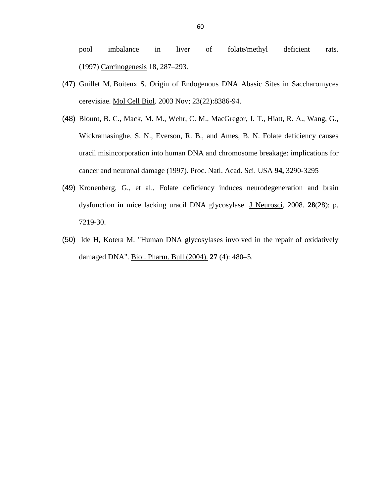pool imbalance in liver of folate/methyl deficient rats. (1997) Carcinogenesis 18, 287–293.

- (47) [Guillet](http://www.ncbi.nlm.nih.gov.proxy.lib.wayne.edu/pubmed?term=%22Guillet%20M%22%5BAuthor%5D) M, [Boiteux](http://www.ncbi.nlm.nih.gov.proxy.lib.wayne.edu/pubmed?term=%22Boiteux%20S%22%5BAuthor%5D) S. Origin of Endogenous DNA Abasic Sites in Saccharomyces cerevisiae. Mol Cell [Biol.](http://www.ncbi.nlm.nih.gov.proxy.lib.wayne.edu/pubmed?term=(47)%09Origin%20of%20Endogenous%20DNA%20Abasic%20Sites%20in%20Saccharomyces%20cerevisiae) 2003 Nov; 23(22):8386-94.
- (48) Blount, B. C., Mack, M. M., Wehr, C. M., MacGregor, J. T., Hiatt, R. A., Wang, G., Wickramasinghe, S. N., Everson, R. B., and Ames, B. N. Folate deficiency causes uracil misincorporation into human DNA and chromosome breakage: implications for cancer and neuronal damage (1997). Proc. Natl. Acad. Sci. USA **94,** 3290-3295
- (49) Kronenberg, G., et al., Folate deficiency induces neurodegeneration and brain dysfunction in mice lacking uracil DNA glycosylase. J Neurosci, 2008. **28**(28): p. 7219-30.
- (50) Ide H, Kotera M. "Human DNA glycosylases involved in the repair of oxidatively damaged DNA". Biol. Pharm. Bull (2004). **27** (4): 480–5.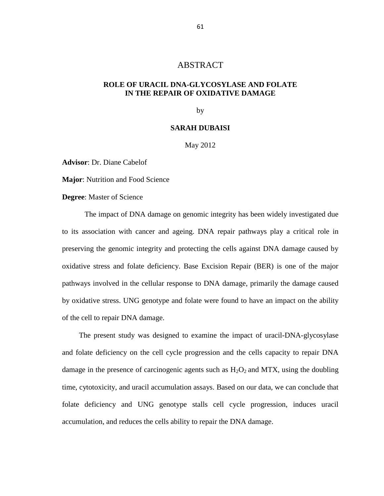# ABSTRACT

## <span id="page-66-0"></span>**ROLE OF URACIL DNA-GLYCOSYLASE AND FOLATE IN THE REPAIR OF OXIDATIVE DAMAGE**

by

### **SARAH DUBAISI**

### May 2012

**Advisor**: Dr. Diane Cabelof

**Major**: Nutrition and Food Science

**Degree**: Master of Science

The impact of DNA damage on genomic integrity has been widely investigated due to its association with cancer and ageing. DNA repair pathways play a critical role in preserving the genomic integrity and protecting the cells against DNA damage caused by oxidative stress and folate deficiency. Base Excision Repair (BER) is one of the major pathways involved in the cellular response to DNA damage, primarily the damage caused by oxidative stress. UNG genotype and folate were found to have an impact on the ability of the cell to repair DNA damage.

The present study was designed to examine the impact of uracil-DNA-glycosylase and folate deficiency on the cell cycle progression and the cells capacity to repair DNA damage in the presence of carcinogenic agents such as  $H_2O_2$  and MTX, using the doubling time, cytotoxicity, and uracil accumulation assays. Based on our data, we can conclude that folate deficiency and UNG genotype stalls cell cycle progression, induces uracil accumulation, and reduces the cells ability to repair the DNA damage.